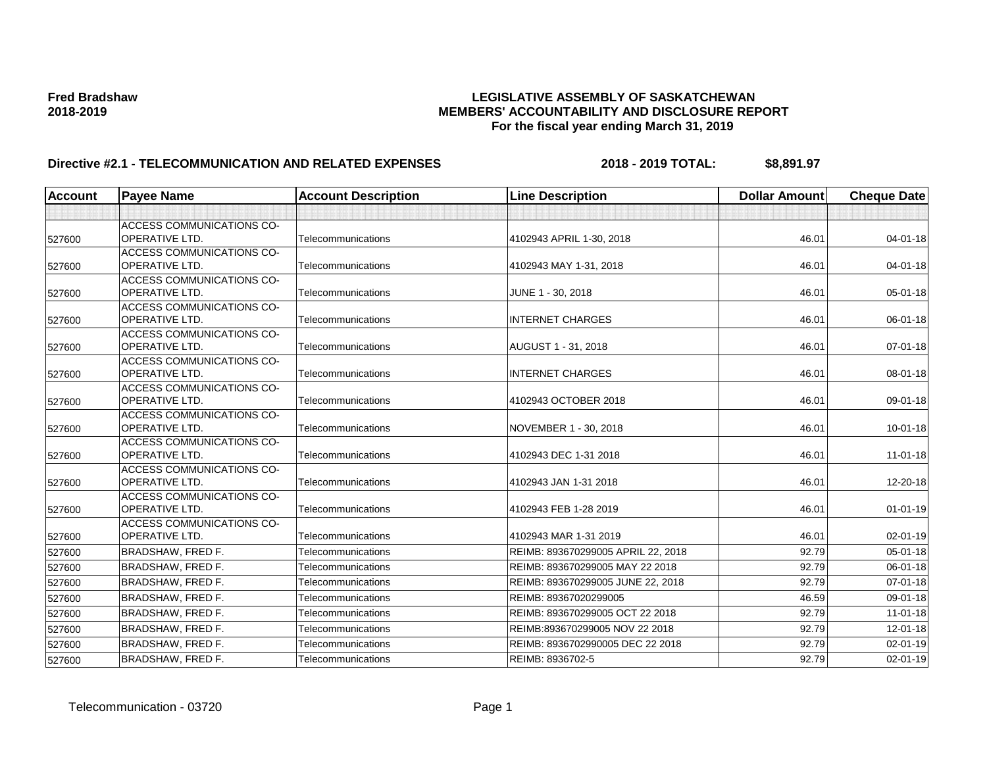| <b>Account</b> | <b>Payee Name</b>                                         | <b>Account Description</b> | <b>Line Description</b>            | <b>Dollar Amount</b> | <b>Cheque Date</b> |
|----------------|-----------------------------------------------------------|----------------------------|------------------------------------|----------------------|--------------------|
|                |                                                           |                            |                                    |                      |                    |
| 527600         | <b>ACCESS COMMUNICATIONS CO-</b><br><b>OPERATIVE LTD.</b> | Telecommunications         | 4102943 APRIL 1-30, 2018           | 46.01                | 04-01-18           |
| 527600         | <b>ACCESS COMMUNICATIONS CO-</b><br><b>OPERATIVE LTD.</b> | Telecommunications         | 4102943 MAY 1-31, 2018             | 46.01                | $04 - 01 - 18$     |
| 527600         | <b>ACCESS COMMUNICATIONS CO-</b><br><b>OPERATIVE LTD.</b> | Telecommunications         | JUNE 1 - 30, 2018                  | 46.01                | 05-01-18           |
| 527600         | <b>ACCESS COMMUNICATIONS CO-</b><br><b>OPERATIVE LTD.</b> | Telecommunications         | <b>INTERNET CHARGES</b>            | 46.01                | 06-01-18           |
| 527600         | <b>ACCESS COMMUNICATIONS CO-</b><br><b>OPERATIVE LTD.</b> | Telecommunications         | AUGUST 1 - 31, 2018                | 46.01                | $07 - 01 - 18$     |
| 527600         | <b>ACCESS COMMUNICATIONS CO-</b><br><b>OPERATIVE LTD.</b> | Telecommunications         | <b>INTERNET CHARGES</b>            | 46.01                | 08-01-18           |
| 527600         | <b>ACCESS COMMUNICATIONS CO-</b><br><b>OPERATIVE LTD.</b> | Telecommunications         | 4102943 OCTOBER 2018               | 46.01                | 09-01-18           |
| 527600         | <b>ACCESS COMMUNICATIONS CO-</b><br>OPERATIVE LTD.        | Telecommunications         | NOVEMBER 1 - 30, 2018              | 46.01                | $10 - 01 - 18$     |
| 527600         | <b>ACCESS COMMUNICATIONS CO-</b><br><b>OPERATIVE LTD.</b> | Telecommunications         | 4102943 DEC 1-31 2018              | 46.01                | $11 - 01 - 18$     |
| 527600         | ACCESS COMMUNICATIONS CO-<br><b>OPERATIVE LTD.</b>        | Telecommunications         | 4102943 JAN 1-31 2018              | 46.01                | 12-20-18           |
| 527600         | <b>ACCESS COMMUNICATIONS CO-</b><br><b>OPERATIVE LTD.</b> | Telecommunications         | 4102943 FEB 1-28 2019              | 46.01                | $01 - 01 - 19$     |
| 527600         | <b>ACCESS COMMUNICATIONS CO-</b><br><b>OPERATIVE LTD.</b> | Telecommunications         | 4102943 MAR 1-31 2019              | 46.01                | 02-01-19           |
| 527600         | <b>BRADSHAW, FRED F.</b>                                  | Telecommunications         | REIMB: 893670299005 APRIL 22, 2018 | 92.79                | 05-01-18           |
| 527600         | <b>BRADSHAW, FRED F.</b>                                  | Telecommunications         | REIMB: 893670299005 MAY 22 2018    | 92.79                | 06-01-18           |
| 527600         | <b>BRADSHAW, FRED F.</b>                                  | Telecommunications         | REIMB: 893670299005 JUNE 22, 2018  | 92.79                | $07 - 01 - 18$     |
| 527600         | <b>BRADSHAW, FRED F.</b>                                  | Telecommunications         | REIMB: 89367020299005              | 46.59                | 09-01-18           |
| 527600         | <b>BRADSHAW, FRED F.</b>                                  | Telecommunications         | REIMB: 893670299005 OCT 22 2018    | 92.79                | $11-01-18$         |
| 527600         | <b>BRADSHAW, FRED F.</b>                                  | Telecommunications         | REIMB:893670299005 NOV 22 2018     | 92.79                | $12 - 01 - 18$     |
| 527600         | <b>BRADSHAW, FRED F.</b>                                  | Telecommunications         | REIMB: 8936702990005 DEC 22 2018   | 92.79                | 02-01-19           |
| 527600         | <b>BRADSHAW, FRED F.</b>                                  | Telecommunications         | REIMB: 8936702-5                   | 92.79                | $02 - 01 - 19$     |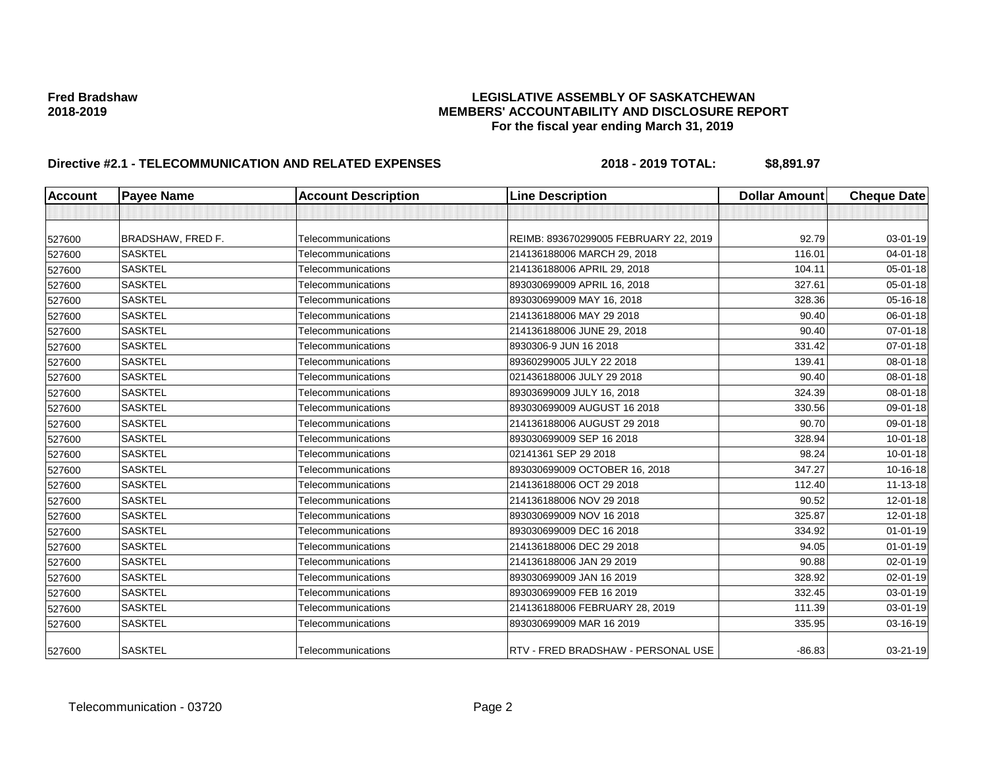| <b>Account</b> | <b>Payee Name</b>        | <b>Account Description</b> | <b>Line Description</b>               | <b>Dollar Amount</b> | <b>Cheque Date</b> |
|----------------|--------------------------|----------------------------|---------------------------------------|----------------------|--------------------|
|                |                          |                            |                                       |                      |                    |
| 527600         | <b>BRADSHAW, FRED F.</b> | Telecommunications         | REIMB: 893670299005 FEBRUARY 22, 2019 | 92.79                | 03-01-19           |
| 527600         | <b>SASKTEL</b>           | Telecommunications         | 214136188006 MARCH 29, 2018           | 116.01               | 04-01-18           |
| 527600         | <b>SASKTEL</b>           | Telecommunications         | 214136188006 APRIL 29, 2018           | 104.11               | 05-01-18           |
| 527600         | <b>SASKTEL</b>           | Telecommunications         | 893030699009 APRIL 16, 2018           | 327.61               | 05-01-18           |
| 527600         | <b>SASKTEL</b>           | Telecommunications         | 893030699009 MAY 16, 2018             | 328.36               | 05-16-18           |
| 527600         | <b>SASKTEL</b>           | Telecommunications         | 214136188006 MAY 29 2018              | 90.40                | 06-01-18           |
| 527600         | <b>SASKTEL</b>           | Telecommunications         | 214136188006 JUNE 29, 2018            | 90.40                | 07-01-18           |
| 527600         | <b>SASKTEL</b>           | Telecommunications         | 8930306-9 JUN 16 2018                 | 331.42               | 07-01-18           |
| 527600         | <b>SASKTEL</b>           | Telecommunications         | 89360299005 JULY 22 2018              | 139.41               | 08-01-18           |
| 527600         | <b>SASKTEL</b>           | Telecommunications         | 021436188006 JULY 29 2018             | 90.40                | 08-01-18           |
| 527600         | <b>SASKTEL</b>           | Telecommunications         | 89303699009 JULY 16, 2018             | 324.39               | 08-01-18           |
| 527600         | <b>SASKTEL</b>           | Telecommunications         | 893030699009 AUGUST 16 2018           | 330.56               | 09-01-18           |
| 527600         | <b>SASKTEL</b>           | Telecommunications         | 214136188006 AUGUST 29 2018           | 90.70                | 09-01-18           |
| 527600         | <b>SASKTEL</b>           | Telecommunications         | 893030699009 SEP 16 2018              | 328.94               | $10 - 01 - 18$     |
| 527600         | <b>SASKTEL</b>           | Telecommunications         | 02141361 SEP 29 2018                  | 98.24                | $10 - 01 - 18$     |
| 527600         | <b>SASKTEL</b>           | Telecommunications         | 893030699009 OCTOBER 16, 2018         | 347.27               | 10-16-18           |
| 527600         | <b>SASKTEL</b>           | Telecommunications         | 214136188006 OCT 29 2018              | 112.40               | 11-13-18           |
| 527600         | <b>SASKTEL</b>           | Telecommunications         | 214136188006 NOV 29 2018              | 90.52                | 12-01-18           |
| 527600         | <b>SASKTEL</b>           | Telecommunications         | 893030699009 NOV 16 2018              | 325.87               | $12 - 01 - 18$     |
| 527600         | <b>SASKTEL</b>           | Telecommunications         | 893030699009 DEC 16 2018              | 334.92               | $01 - 01 - 19$     |
| 527600         | <b>SASKTEL</b>           | Telecommunications         | 214136188006 DEC 29 2018              | 94.05                | $01 - 01 - 19$     |
| 527600         | <b>SASKTEL</b>           | Telecommunications         | 214136188006 JAN 29 2019              | 90.88                | 02-01-19           |
| 527600         | <b>SASKTEL</b>           | Telecommunications         | 893030699009 JAN 16 2019              | 328.92               | 02-01-19           |
| 527600         | <b>SASKTEL</b>           | Telecommunications         | 893030699009 FEB 16 2019              | 332.45               | 03-01-19           |
| 527600         | <b>SASKTEL</b>           | Telecommunications         | 214136188006 FEBRUARY 28, 2019        | 111.39               | 03-01-19           |
| 527600         | <b>SASKTEL</b>           | Telecommunications         | 893030699009 MAR 16 2019              | 335.95               | 03-16-19           |
| 527600         | <b>SASKTEL</b>           | Telecommunications         | RTV - FRED BRADSHAW - PERSONAL USE    | $-86.83$             | $03 - 21 - 19$     |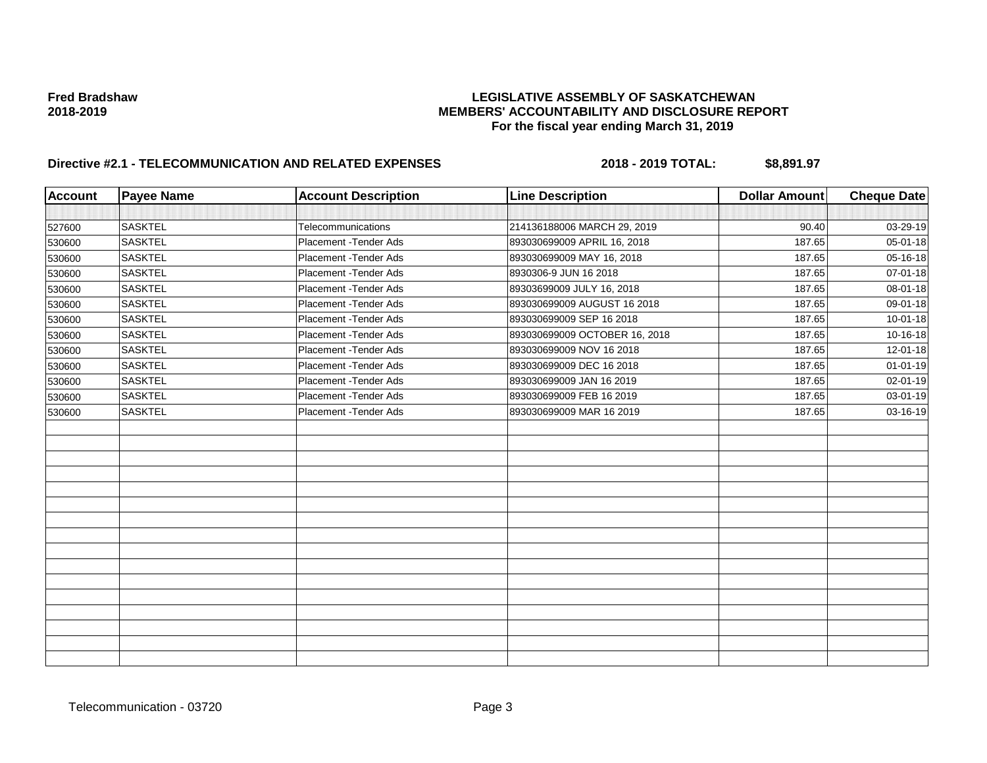| <b>Account</b> | <b>Payee Name</b> | <b>Account Description</b> | <b>Line Description</b>       | <b>Dollar Amount</b> | <b>Cheque Date</b> |
|----------------|-------------------|----------------------------|-------------------------------|----------------------|--------------------|
|                |                   |                            |                               |                      |                    |
| 527600         | <b>SASKTEL</b>    | Telecommunications         | 214136188006 MARCH 29, 2019   | 90.40                | 03-29-19           |
| 530600         | <b>SASKTEL</b>    | Placement - Tender Ads     | 893030699009 APRIL 16, 2018   | 187.65               | 05-01-18           |
| 530600         | <b>SASKTEL</b>    | Placement - Tender Ads     | 893030699009 MAY 16, 2018     | 187.65               | 05-16-18           |
| 530600         | <b>SASKTEL</b>    | Placement - Tender Ads     | 8930306-9 JUN 16 2018         | 187.65               | 07-01-18           |
| 530600         | <b>SASKTEL</b>    | Placement - Tender Ads     | 89303699009 JULY 16, 2018     | 187.65               | 08-01-18           |
| 530600         | <b>SASKTEL</b>    | Placement - Tender Ads     | 893030699009 AUGUST 16 2018   | 187.65               | 09-01-18           |
| 530600         | <b>SASKTEL</b>    | Placement - Tender Ads     | 893030699009 SEP 16 2018      | 187.65               | $10 - 01 - 18$     |
| 530600         | <b>SASKTEL</b>    | Placement - Tender Ads     | 893030699009 OCTOBER 16, 2018 | 187.65               | 10-16-18           |
| 530600         | <b>SASKTEL</b>    | Placement - Tender Ads     | 893030699009 NOV 16 2018      | 187.65               | 12-01-18           |
| 530600         | <b>SASKTEL</b>    | Placement - Tender Ads     | 893030699009 DEC 16 2018      | 187.65               | $01 - 01 - 19$     |
| 530600         | <b>SASKTEL</b>    | Placement - Tender Ads     | 893030699009 JAN 16 2019      | 187.65               | 02-01-19           |
| 530600         | <b>SASKTEL</b>    | Placement - Tender Ads     | 893030699009 FEB 16 2019      | 187.65               | 03-01-19           |
| 530600         | <b>SASKTEL</b>    | Placement - Tender Ads     | 893030699009 MAR 16 2019      | 187.65               | 03-16-19           |
|                |                   |                            |                               |                      |                    |
|                |                   |                            |                               |                      |                    |
|                |                   |                            |                               |                      |                    |
|                |                   |                            |                               |                      |                    |
|                |                   |                            |                               |                      |                    |
|                |                   |                            |                               |                      |                    |
|                |                   |                            |                               |                      |                    |
|                |                   |                            |                               |                      |                    |
|                |                   |                            |                               |                      |                    |
|                |                   |                            |                               |                      |                    |
|                |                   |                            |                               |                      |                    |
|                |                   |                            |                               |                      |                    |
|                |                   |                            |                               |                      |                    |
|                |                   |                            |                               |                      |                    |
|                |                   |                            |                               |                      |                    |
|                |                   |                            |                               |                      |                    |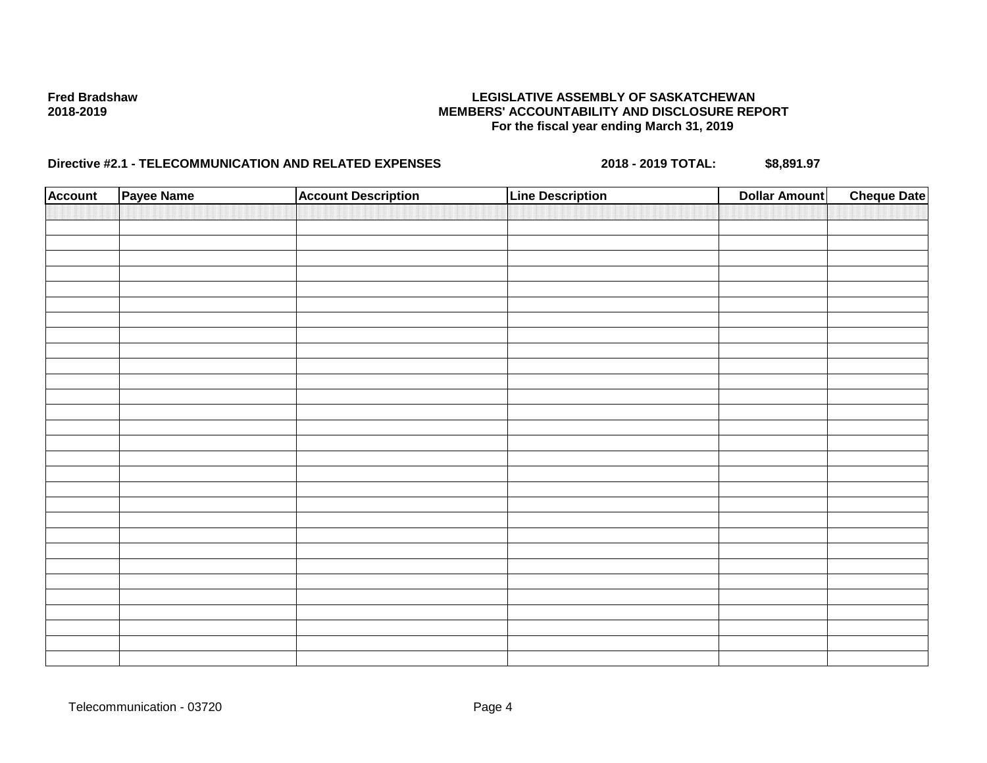| <b>Account</b> | Payee Name | <b>Account Description</b> | <b>Line Description</b> | <b>Dollar Amount</b> | <b>Cheque Date</b> |
|----------------|------------|----------------------------|-------------------------|----------------------|--------------------|
|                |            |                            |                         |                      |                    |
|                |            |                            |                         |                      |                    |
|                |            |                            |                         |                      |                    |
|                |            |                            |                         |                      |                    |
|                |            |                            |                         |                      |                    |
|                |            |                            |                         |                      |                    |
|                |            |                            |                         |                      |                    |
|                |            |                            |                         |                      |                    |
|                |            |                            |                         |                      |                    |
|                |            |                            |                         |                      |                    |
|                |            |                            |                         |                      |                    |
|                |            |                            |                         |                      |                    |
|                |            |                            |                         |                      |                    |
|                |            |                            |                         |                      |                    |
|                |            |                            |                         |                      |                    |
|                |            |                            |                         |                      |                    |
|                |            |                            |                         |                      |                    |
|                |            |                            |                         |                      |                    |
|                |            |                            |                         |                      |                    |
|                |            |                            |                         |                      |                    |
|                |            |                            |                         |                      |                    |
|                |            |                            |                         |                      |                    |
|                |            |                            |                         |                      |                    |
|                |            |                            |                         |                      |                    |
|                |            |                            |                         |                      |                    |
|                |            |                            |                         |                      |                    |
|                |            |                            |                         |                      |                    |
|                |            |                            |                         |                      |                    |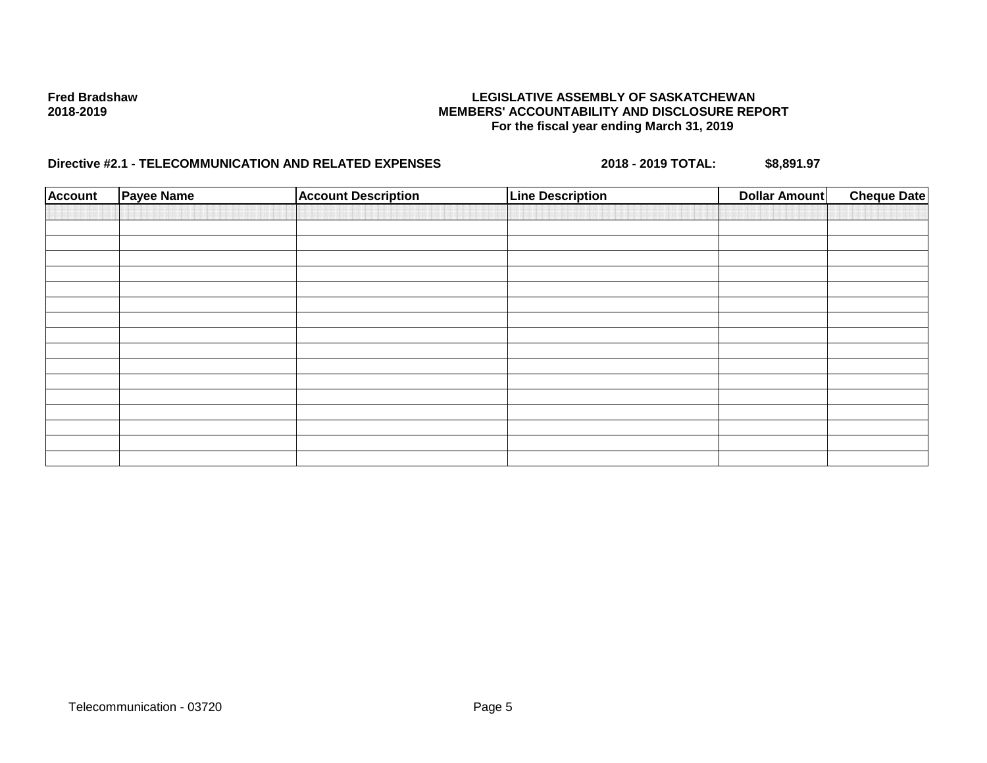| <b>Account</b> | <b>Payee Name</b> | <b>Account Description</b> | <b>Line Description</b> | <b>Dollar Amount</b> | <b>Cheque Date</b> |
|----------------|-------------------|----------------------------|-------------------------|----------------------|--------------------|
|                |                   |                            |                         |                      |                    |
|                |                   |                            |                         |                      |                    |
|                |                   |                            |                         |                      |                    |
|                |                   |                            |                         |                      |                    |
|                |                   |                            |                         |                      |                    |
|                |                   |                            |                         |                      |                    |
|                |                   |                            |                         |                      |                    |
|                |                   |                            |                         |                      |                    |
|                |                   |                            |                         |                      |                    |
|                |                   |                            |                         |                      |                    |
|                |                   |                            |                         |                      |                    |
|                |                   |                            |                         |                      |                    |
|                |                   |                            |                         |                      |                    |
|                |                   |                            |                         |                      |                    |
|                |                   |                            |                         |                      |                    |
|                |                   |                            |                         |                      |                    |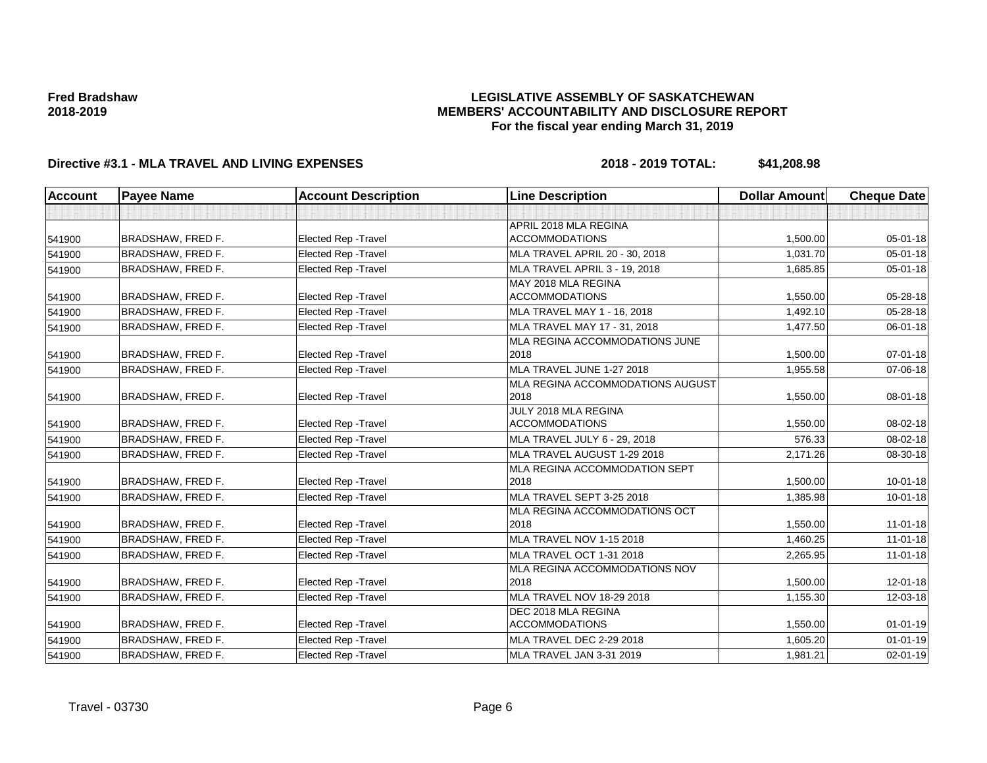## **LEGISLATIVE ASSEMBLY OF SASKATCHEWAN MEMBERS' ACCOUNTABILITY AND DISCLOSURE REPORT For the fiscal year ending March 31, 2019**

| Account | <b>Payee Name</b>        | <b>Account Description</b>  | <b>Line Description</b>          | <b>Dollar Amount</b> | <b>Cheque Date</b> |
|---------|--------------------------|-----------------------------|----------------------------------|----------------------|--------------------|
|         |                          |                             |                                  |                      |                    |
|         |                          |                             | APRIL 2018 MLA REGINA            |                      |                    |
| 541900  | <b>BRADSHAW, FRED F.</b> | <b>Elected Rep - Travel</b> | <b>ACCOMMODATIONS</b>            | 1,500.00             | 05-01-18           |
| 541900  | <b>BRADSHAW, FRED F.</b> | Elected Rep - Travel        | MLA TRAVEL APRIL 20 - 30, 2018   | 1,031.70             | $05 - 01 - 18$     |
| 541900  | <b>BRADSHAW, FRED F.</b> | <b>Elected Rep - Travel</b> | MLA TRAVEL APRIL 3 - 19, 2018    | 1,685.85             | $05 - 01 - 18$     |
|         |                          |                             | MAY 2018 MLA REGINA              |                      |                    |
| 541900  | <b>BRADSHAW, FRED F.</b> | <b>Elected Rep - Travel</b> | <b>ACCOMMODATIONS</b>            | 1,550.00             | 05-28-18           |
| 541900  | <b>BRADSHAW, FRED F.</b> | Elected Rep - Travel        | MLA TRAVEL MAY 1 - 16, 2018      | 1,492.10             | 05-28-18           |
| 541900  | <b>BRADSHAW, FRED F.</b> | <b>Elected Rep - Travel</b> | MLA TRAVEL MAY 17 - 31, 2018     | 1.477.50             | 06-01-18           |
|         |                          |                             | MLA REGINA ACCOMMODATIONS JUNE   |                      |                    |
| 541900  | <b>BRADSHAW, FRED F.</b> | <b>Elected Rep - Travel</b> | 2018                             | 1,500.00             | $07 - 01 - 18$     |
| 541900  | <b>BRADSHAW, FRED F.</b> | <b>Elected Rep - Travel</b> | MLA TRAVEL JUNE 1-27 2018        | 1,955.58             | 07-06-18           |
|         |                          |                             | MLA REGINA ACCOMMODATIONS AUGUST |                      |                    |
| 541900  | <b>BRADSHAW, FRED F.</b> | Elected Rep - Travel        | 2018                             | 1,550.00             | 08-01-18           |
|         |                          |                             | JULY 2018 MLA REGINA             |                      |                    |
| 541900  | <b>BRADSHAW, FRED F.</b> | <b>Elected Rep - Travel</b> | <b>ACCOMMODATIONS</b>            | 1.550.00             | 08-02-18           |
| 541900  | <b>BRADSHAW, FRED F.</b> | <b>Elected Rep - Travel</b> | MLA TRAVEL JULY 6 - 29, 2018     | 576.33               | 08-02-18           |
| 541900  | <b>BRADSHAW, FRED F.</b> | Elected Rep - Travel        | MLA TRAVEL AUGUST 1-29 2018      | 2,171.26             | 08-30-18           |
|         |                          |                             | MLA REGINA ACCOMMODATION SEPT    |                      |                    |
| 541900  | <b>BRADSHAW, FRED F.</b> | <b>Elected Rep - Travel</b> | 2018                             | 1,500.00             | $10 - 01 - 18$     |
| 541900  | <b>BRADSHAW, FRED F.</b> | <b>Elected Rep - Travel</b> | MLA TRAVEL SEPT 3-25 2018        | 1,385.98             | 10-01-18           |
|         |                          |                             | MLA REGINA ACCOMMODATIONS OCT    |                      |                    |
| 541900  | <b>BRADSHAW, FRED F.</b> | Elected Rep - Travel        | 2018                             | 1,550.00             | $11-01-18$         |
| 541900  | <b>BRADSHAW, FRED F.</b> | <b>Elected Rep - Travel</b> | <b>MLA TRAVEL NOV 1-15 2018</b>  | 1,460.25             | $11-01-18$         |
| 541900  | <b>BRADSHAW, FRED F.</b> | <b>Elected Rep - Travel</b> | <b>MLA TRAVEL OCT 1-31 2018</b>  | 2,265.95             | $11-01-18$         |
|         |                          |                             | MLA REGINA ACCOMMODATIONS NOV    |                      |                    |
| 541900  | <b>BRADSHAW, FRED F.</b> | Elected Rep - Travel        | 2018                             | 1,500.00             | $12 - 01 - 18$     |
| 541900  | <b>BRADSHAW, FRED F.</b> | <b>Elected Rep - Travel</b> | MLA TRAVEL NOV 18-29 2018        | 1,155.30             | 12-03-18           |
|         |                          |                             | DEC 2018 MLA REGINA              |                      |                    |
| 541900  | <b>BRADSHAW, FRED F.</b> | Elected Rep - Travel        | <b>ACCOMMODATIONS</b>            | 1,550.00             | $01 - 01 - 19$     |
| 541900  | BRADSHAW, FRED F.        | <b>Elected Rep - Travel</b> | MLA TRAVEL DEC 2-29 2018         | 1,605.20             | $01 - 01 - 19$     |
| 541900  | <b>BRADSHAW, FRED F.</b> | Elected Rep - Travel        | MLA TRAVEL JAN 3-31 2019         | 1,981.21             | $02 - 01 - 19$     |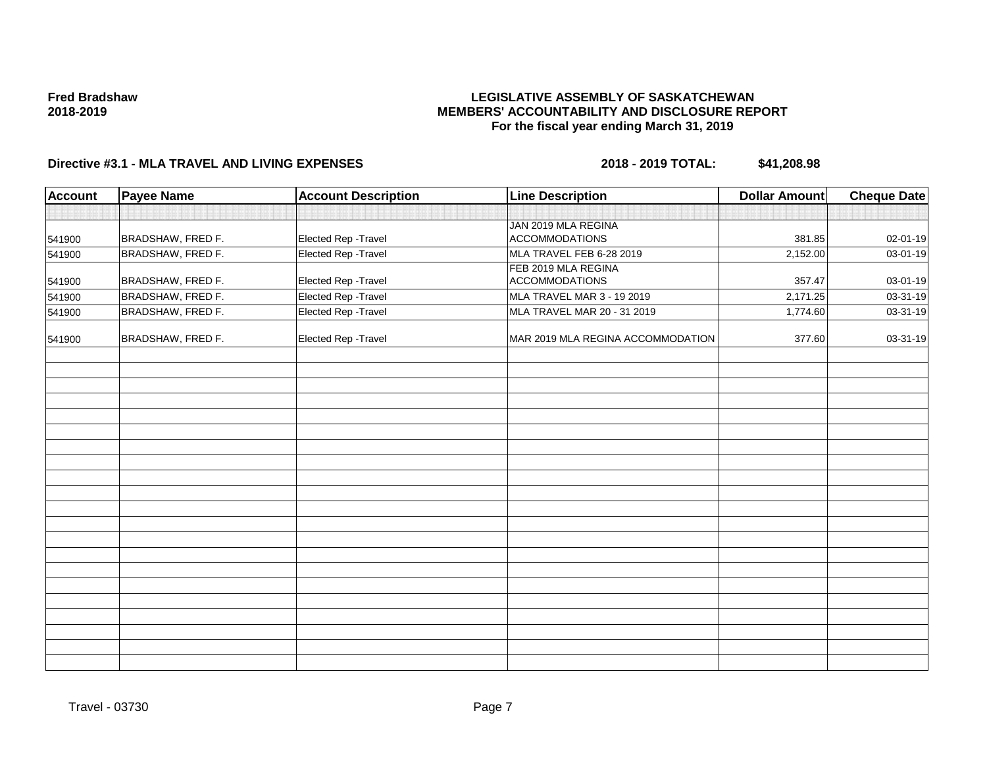### **LEGISLATIVE ASSEMBLY OF SASKATCHEWAN MEMBERS' ACCOUNTABILITY AND DISCLOSURE REPORT For the fiscal year ending March 31, 2019**

| Account | <b>Payee Name</b> | <b>Account Description</b> | <b>Line Description</b>           | <b>Dollar Amount</b> | <b>Cheque Date</b> |
|---------|-------------------|----------------------------|-----------------------------------|----------------------|--------------------|
|         |                   |                            |                                   |                      |                    |
|         |                   |                            | JAN 2019 MLA REGINA               |                      |                    |
| 541900  | BRADSHAW, FRED F. | Elected Rep - Travel       | <b>ACCOMMODATIONS</b>             | 381.85               | 02-01-19           |
| 541900  | BRADSHAW, FRED F. | Elected Rep - Travel       | MLA TRAVEL FEB 6-28 2019          | 2,152.00             | 03-01-19           |
|         |                   |                            | FEB 2019 MLA REGINA               |                      |                    |
| 541900  | BRADSHAW, FRED F. | Elected Rep - Travel       | <b>ACCOMMODATIONS</b>             | 357.47               | 03-01-19           |
| 541900  | BRADSHAW, FRED F. | Elected Rep - Travel       | MLA TRAVEL MAR 3 - 19 2019        | 2,171.25             | 03-31-19           |
| 541900  | BRADSHAW, FRED F. | Elected Rep - Travel       | MLA TRAVEL MAR 20 - 31 2019       | 1,774.60             | 03-31-19           |
| 541900  | BRADSHAW, FRED F. | Elected Rep - Travel       | MAR 2019 MLA REGINA ACCOMMODATION | 377.60               | 03-31-19           |
|         |                   |                            |                                   |                      |                    |
|         |                   |                            |                                   |                      |                    |
|         |                   |                            |                                   |                      |                    |
|         |                   |                            |                                   |                      |                    |
|         |                   |                            |                                   |                      |                    |
|         |                   |                            |                                   |                      |                    |
|         |                   |                            |                                   |                      |                    |
|         |                   |                            |                                   |                      |                    |
|         |                   |                            |                                   |                      |                    |
|         |                   |                            |                                   |                      |                    |
|         |                   |                            |                                   |                      |                    |
|         |                   |                            |                                   |                      |                    |
|         |                   |                            |                                   |                      |                    |
|         |                   |                            |                                   |                      |                    |
|         |                   |                            |                                   |                      |                    |
|         |                   |                            |                                   |                      |                    |
|         |                   |                            |                                   |                      |                    |
|         |                   |                            |                                   |                      |                    |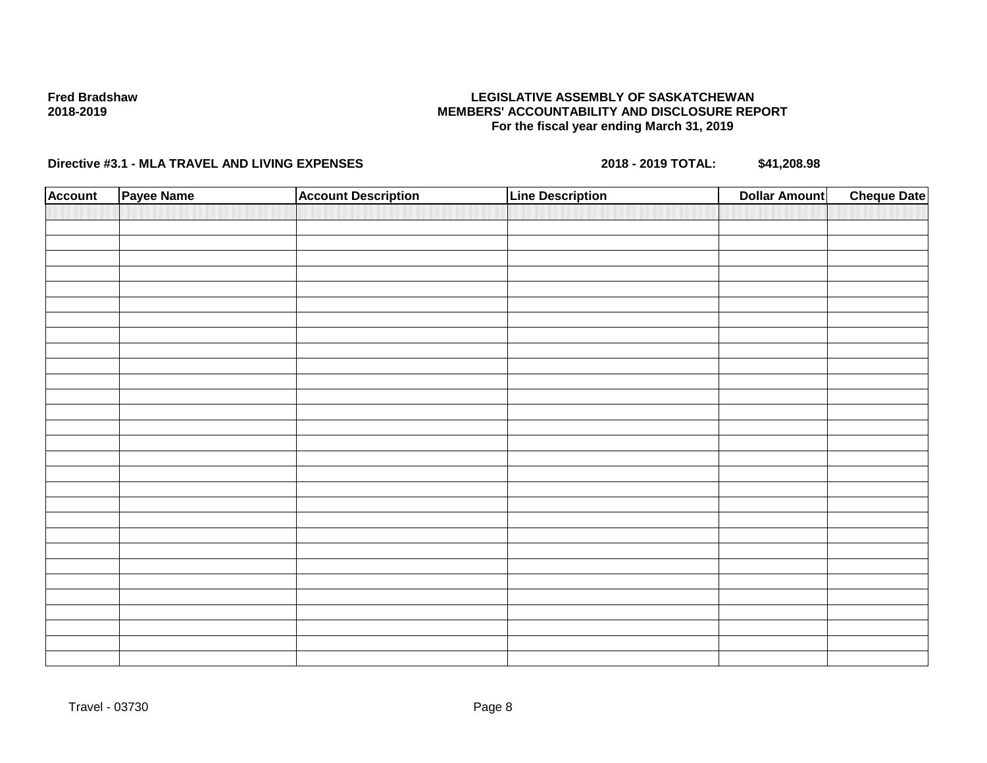## **LEGISLATIVE ASSEMBLY OF SASKATCHEWAN MEMBERS' ACCOUNTABILITY AND DISCLOSURE REPORT For the fiscal year ending March 31, 2019**

| <b>Account</b> | Payee Name | <b>Account Description</b> | <b>Line Description</b> | <b>Cheque Date</b><br><b>Dollar Amount</b> |
|----------------|------------|----------------------------|-------------------------|--------------------------------------------|
|                |            |                            |                         |                                            |
|                |            |                            |                         |                                            |
|                |            |                            |                         |                                            |
|                |            |                            |                         |                                            |
|                |            |                            |                         |                                            |
|                |            |                            |                         |                                            |
|                |            |                            |                         |                                            |
|                |            |                            |                         |                                            |
|                |            |                            |                         |                                            |
|                |            |                            |                         |                                            |
|                |            |                            |                         |                                            |
|                |            |                            |                         |                                            |
|                |            |                            |                         |                                            |
|                |            |                            |                         |                                            |
|                |            |                            |                         |                                            |
|                |            |                            |                         |                                            |
|                |            |                            |                         |                                            |
|                |            |                            |                         |                                            |
|                |            |                            |                         |                                            |
|                |            |                            |                         |                                            |
|                |            |                            |                         |                                            |
|                |            |                            |                         |                                            |
|                |            |                            |                         |                                            |
|                |            |                            |                         |                                            |
|                |            |                            |                         |                                            |
|                |            |                            |                         |                                            |
|                |            |                            |                         |                                            |
|                |            |                            |                         |                                            |
|                |            |                            |                         |                                            |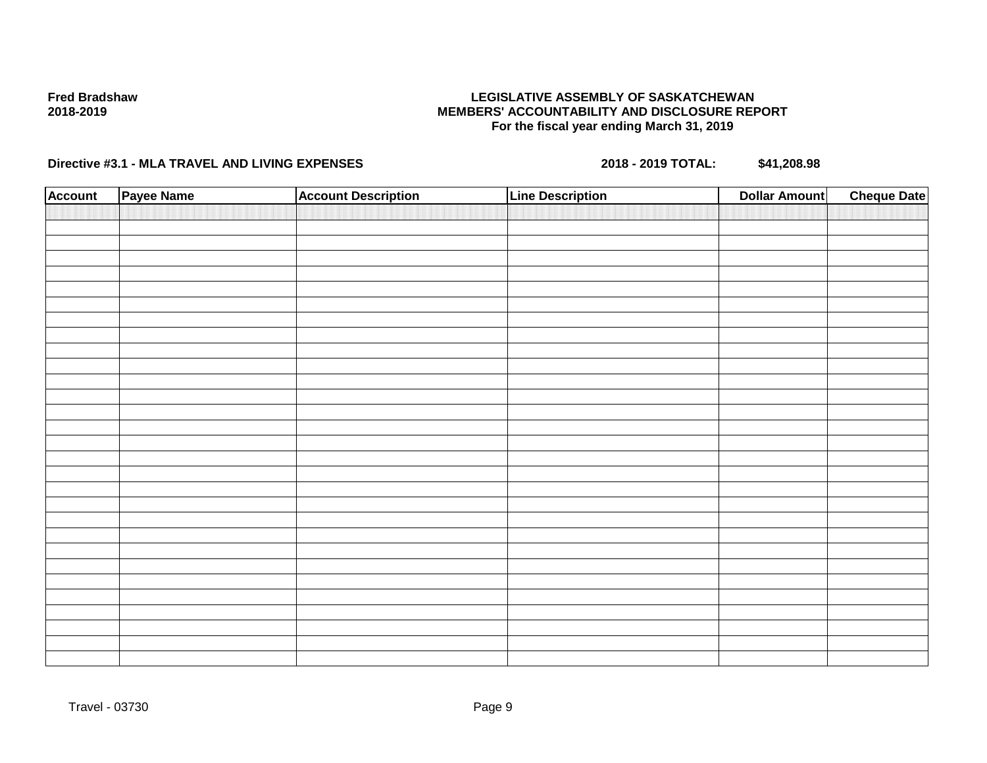## **LEGISLATIVE ASSEMBLY OF SASKATCHEWAN MEMBERS' ACCOUNTABILITY AND DISCLOSURE REPORT For the fiscal year ending March 31, 2019**

| <b>Account</b> | Payee Name | <b>Account Description</b> | <b>Line Description</b> | <b>Cheque Date</b><br><b>Dollar Amount</b> |
|----------------|------------|----------------------------|-------------------------|--------------------------------------------|
|                |            |                            |                         |                                            |
|                |            |                            |                         |                                            |
|                |            |                            |                         |                                            |
|                |            |                            |                         |                                            |
|                |            |                            |                         |                                            |
|                |            |                            |                         |                                            |
|                |            |                            |                         |                                            |
|                |            |                            |                         |                                            |
|                |            |                            |                         |                                            |
|                |            |                            |                         |                                            |
|                |            |                            |                         |                                            |
|                |            |                            |                         |                                            |
|                |            |                            |                         |                                            |
|                |            |                            |                         |                                            |
|                |            |                            |                         |                                            |
|                |            |                            |                         |                                            |
|                |            |                            |                         |                                            |
|                |            |                            |                         |                                            |
|                |            |                            |                         |                                            |
|                |            |                            |                         |                                            |
|                |            |                            |                         |                                            |
|                |            |                            |                         |                                            |
|                |            |                            |                         |                                            |
|                |            |                            |                         |                                            |
|                |            |                            |                         |                                            |
|                |            |                            |                         |                                            |
|                |            |                            |                         |                                            |
|                |            |                            |                         |                                            |
|                |            |                            |                         |                                            |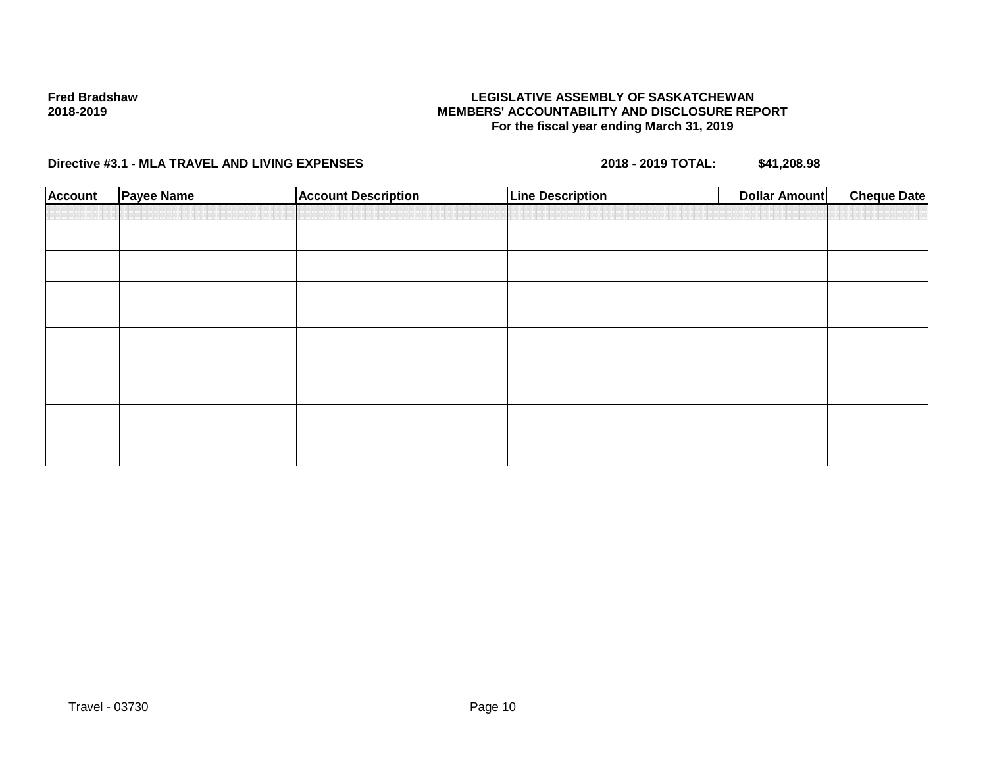## **LEGISLATIVE ASSEMBLY OF SASKATCHEWAN MEMBERS' ACCOUNTABILITY AND DISCLOSURE REPORT For the fiscal year ending March 31, 2019**

| <b>Account</b> | <b>Payee Name</b> | <b>Account Description</b> | <b>Line Description</b> | <b>Dollar Amount</b> | <b>Cheque Date</b> |
|----------------|-------------------|----------------------------|-------------------------|----------------------|--------------------|
|                |                   |                            |                         |                      |                    |
|                |                   |                            |                         |                      |                    |
|                |                   |                            |                         |                      |                    |
|                |                   |                            |                         |                      |                    |
|                |                   |                            |                         |                      |                    |
|                |                   |                            |                         |                      |                    |
|                |                   |                            |                         |                      |                    |
|                |                   |                            |                         |                      |                    |
|                |                   |                            |                         |                      |                    |
|                |                   |                            |                         |                      |                    |
|                |                   |                            |                         |                      |                    |
|                |                   |                            |                         |                      |                    |
|                |                   |                            |                         |                      |                    |
|                |                   |                            |                         |                      |                    |
|                |                   |                            |                         |                      |                    |
|                |                   |                            |                         |                      |                    |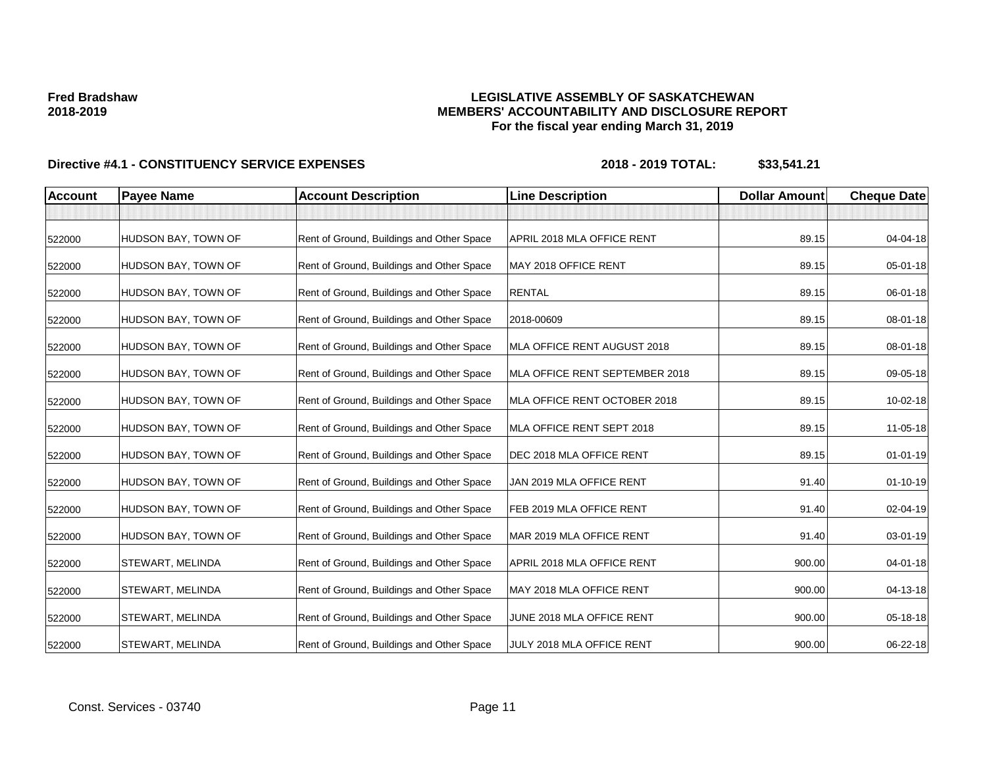## **LEGISLATIVE ASSEMBLY OF SASKATCHEWAN MEMBERS' ACCOUNTABILITY AND DISCLOSURE REPORT For the fiscal year ending March 31, 2019**

| <b>Account</b> | <b>Payee Name</b>       | <b>Account Description</b>                | <b>Line Description</b>        | <b>Dollar Amount</b> | <b>Cheque Date</b> |
|----------------|-------------------------|-------------------------------------------|--------------------------------|----------------------|--------------------|
|                |                         |                                           |                                |                      |                    |
| 522000         | HUDSON BAY, TOWN OF     | Rent of Ground, Buildings and Other Space | APRIL 2018 MLA OFFICE RENT     | 89.15                | 04-04-18           |
| 522000         | HUDSON BAY, TOWN OF     | Rent of Ground, Buildings and Other Space | MAY 2018 OFFICE RENT           | 89.15                | 05-01-18           |
| 522000         | HUDSON BAY, TOWN OF     | Rent of Ground, Buildings and Other Space | <b>RENTAL</b>                  | 89.15                | 06-01-18           |
| 522000         | HUDSON BAY, TOWN OF     | Rent of Ground, Buildings and Other Space | 2018-00609                     | 89.15                | 08-01-18           |
| 522000         | HUDSON BAY, TOWN OF     | Rent of Ground, Buildings and Other Space | MLA OFFICE RENT AUGUST 2018    | 89.15                | 08-01-18           |
| 522000         | HUDSON BAY, TOWN OF     | Rent of Ground, Buildings and Other Space | MLA OFFICE RENT SEPTEMBER 2018 | 89.15                | 09-05-18           |
| 522000         | HUDSON BAY, TOWN OF     | Rent of Ground, Buildings and Other Space | MLA OFFICE RENT OCTOBER 2018   | 89.15                | 10-02-18           |
| 522000         | HUDSON BAY, TOWN OF     | Rent of Ground, Buildings and Other Space | MLA OFFICE RENT SEPT 2018      | 89.15                | 11-05-18           |
| 522000         | HUDSON BAY, TOWN OF     | Rent of Ground, Buildings and Other Space | DEC 2018 MLA OFFICE RENT       | 89.15                | $01 - 01 - 19$     |
| 522000         | HUDSON BAY, TOWN OF     | Rent of Ground, Buildings and Other Space | JAN 2019 MLA OFFICE RENT       | 91.40                | $01 - 10 - 19$     |
| 522000         | HUDSON BAY, TOWN OF     | Rent of Ground, Buildings and Other Space | FEB 2019 MLA OFFICE RENT       | 91.40                | 02-04-19           |
| 522000         | HUDSON BAY, TOWN OF     | Rent of Ground, Buildings and Other Space | MAR 2019 MLA OFFICE RENT       | 91.40                | 03-01-19           |
| 522000         | <b>STEWART, MELINDA</b> | Rent of Ground, Buildings and Other Space | APRIL 2018 MLA OFFICE RENT     | 900.00               | 04-01-18           |
| 522000         | <b>STEWART, MELINDA</b> | Rent of Ground, Buildings and Other Space | MAY 2018 MLA OFFICE RENT       | 900.00               | 04-13-18           |
| 522000         | <b>STEWART, MELINDA</b> | Rent of Ground, Buildings and Other Space | JUNE 2018 MLA OFFICE RENT      | 900.00               | 05-18-18           |
| 522000         | <b>STEWART, MELINDA</b> | Rent of Ground, Buildings and Other Space | JULY 2018 MLA OFFICE RENT      | 900.00               | 06-22-18           |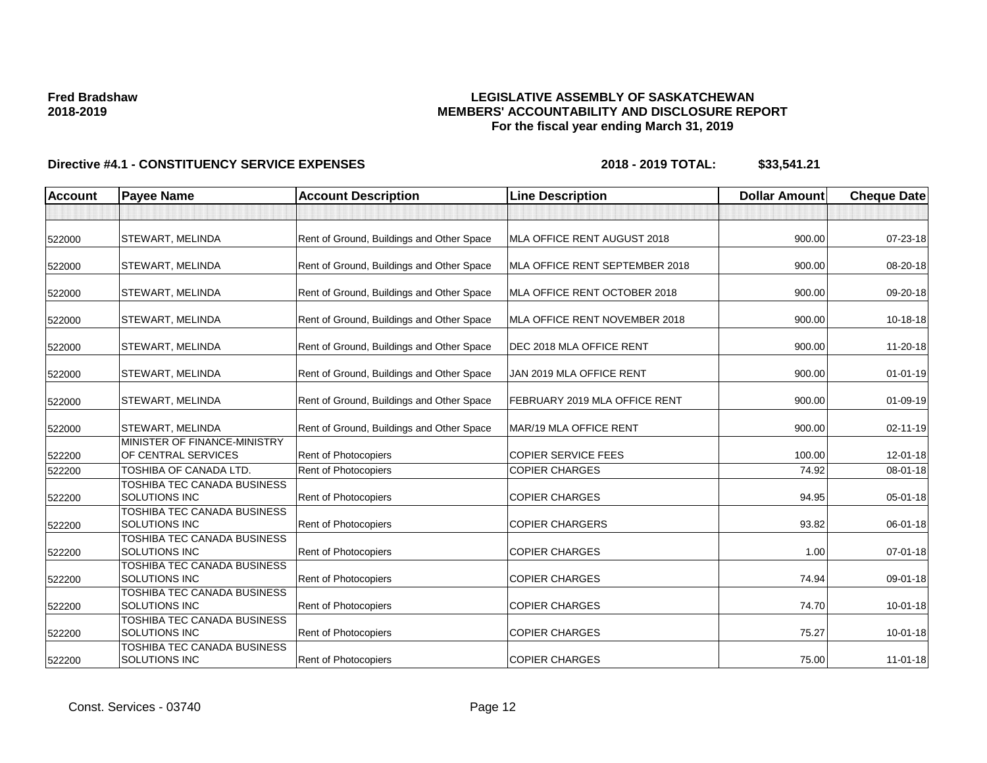## **LEGISLATIVE ASSEMBLY OF SASKATCHEWAN MEMBERS' ACCOUNTABILITY AND DISCLOSURE REPORT For the fiscal year ending March 31, 2019**

| <b>Account</b> | <b>Payee Name</b>                                          | <b>Account Description</b>                | <b>Line Description</b>        | <b>Dollar Amount</b> | <b>Cheque Date</b> |
|----------------|------------------------------------------------------------|-------------------------------------------|--------------------------------|----------------------|--------------------|
|                |                                                            |                                           |                                |                      |                    |
| 522000         | <b>STEWART, MELINDA</b>                                    | Rent of Ground, Buildings and Other Space | MLA OFFICE RENT AUGUST 2018    | 900.00               | 07-23-18           |
| 522000         | STEWART, MELINDA                                           | Rent of Ground, Buildings and Other Space | MLA OFFICE RENT SEPTEMBER 2018 | 900.00               | 08-20-18           |
| 522000         | STEWART, MELINDA                                           | Rent of Ground, Buildings and Other Space | MLA OFFICE RENT OCTOBER 2018   | 900.00               | 09-20-18           |
| 522000         | STEWART, MELINDA                                           | Rent of Ground, Buildings and Other Space | MLA OFFICE RENT NOVEMBER 2018  | 900.00               | 10-18-18           |
| 522000         | STEWART, MELINDA                                           | Rent of Ground, Buildings and Other Space | DEC 2018 MLA OFFICE RENT       | 900.00               | 11-20-18           |
| 522000         | <b>STEWART, MELINDA</b>                                    | Rent of Ground, Buildings and Other Space | JAN 2019 MLA OFFICE RENT       | 900.00               | $01-01-19$         |
| 522000         | <b>STEWART, MELINDA</b>                                    | Rent of Ground, Buildings and Other Space | FEBRUARY 2019 MLA OFFICE RENT  | 900.00               | $01-09-19$         |
| 522000         | <b>STEWART, MELINDA</b>                                    | Rent of Ground, Buildings and Other Space | MAR/19 MLA OFFICE RENT         | 900.00               | 02-11-19           |
| 522200         | MINISTER OF FINANCE-MINISTRY<br>OF CENTRAL SERVICES        | Rent of Photocopiers                      | <b>COPIER SERVICE FEES</b>     | 100.00               | $12 - 01 - 18$     |
| 522200         | TOSHIBA OF CANADA LTD.                                     | <b>Rent of Photocopiers</b>               | <b>COPIER CHARGES</b>          | 74.92                | 08-01-18           |
| 522200         | TOSHIBA TEC CANADA BUSINESS<br>SOLUTIONS INC               | <b>Rent of Photocopiers</b>               | <b>COPIER CHARGES</b>          | 94.95                | 05-01-18           |
| 522200         | <b>TOSHIBA TEC CANADA BUSINESS</b><br><b>SOLUTIONS INC</b> | Rent of Photocopiers                      | <b>COPIER CHARGERS</b>         | 93.82                | 06-01-18           |
| 522200         | TOSHIBA TEC CANADA BUSINESS<br><b>SOLUTIONS INC</b>        | <b>Rent of Photocopiers</b>               | <b>COPIER CHARGES</b>          | 1.00                 | 07-01-18           |
| 522200         | TOSHIBA TEC CANADA BUSINESS<br><b>SOLUTIONS INC</b>        | <b>Rent of Photocopiers</b>               | <b>COPIER CHARGES</b>          | 74.94                | 09-01-18           |
| 522200         | TOSHIBA TEC CANADA BUSINESS<br>SOLUTIONS INC               | Rent of Photocopiers                      | <b>COPIER CHARGES</b>          | 74.70                | $10 - 01 - 18$     |
| 522200         | TOSHIBA TEC CANADA BUSINESS<br>SOLUTIONS INC               | <b>Rent of Photocopiers</b>               | <b>COPIER CHARGES</b>          | 75.27                | $10 - 01 - 18$     |
| 522200         | TOSHIBA TEC CANADA BUSINESS<br>SOLUTIONS INC               | Rent of Photocopiers                      | <b>COPIER CHARGES</b>          | 75.00                | $11 - 01 - 18$     |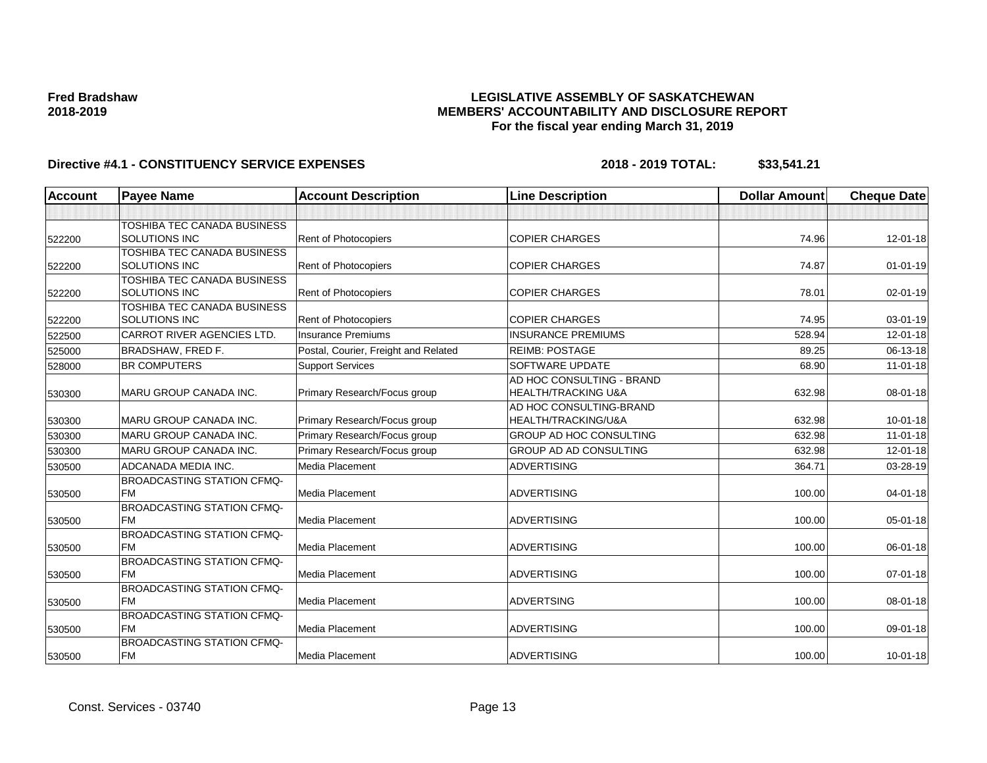## **LEGISLATIVE ASSEMBLY OF SASKATCHEWAN MEMBERS' ACCOUNTABILITY AND DISCLOSURE REPORT For the fiscal year ending March 31, 2019**

| <b>Account</b> | <b>Payee Name</b>                                   | <b>Account Description</b>           | <b>Line Description</b>                                     | <b>Dollar Amount</b> | <b>Cheque Date</b> |
|----------------|-----------------------------------------------------|--------------------------------------|-------------------------------------------------------------|----------------------|--------------------|
|                |                                                     |                                      |                                                             |                      |                    |
| 522200         | TOSHIBA TEC CANADA BUSINESS<br><b>SOLUTIONS INC</b> | Rent of Photocopiers                 | <b>COPIER CHARGES</b>                                       | 74.96                | 12-01-18           |
| 522200         | TOSHIBA TEC CANADA BUSINESS<br>SOLUTIONS INC        | Rent of Photocopiers                 | <b>COPIER CHARGES</b>                                       | 74.87                | $01 - 01 - 19$     |
| 522200         | TOSHIBA TEC CANADA BUSINESS<br><b>SOLUTIONS INC</b> | Rent of Photocopiers                 | <b>COPIER CHARGES</b>                                       | 78.01                | 02-01-19           |
| 522200         | TOSHIBA TEC CANADA BUSINESS<br><b>SOLUTIONS INC</b> | Rent of Photocopiers                 | <b>COPIER CHARGES</b>                                       | 74.95                | 03-01-19           |
| 522500         | <b>CARROT RIVER AGENCIES LTD.</b>                   | <b>Insurance Premiums</b>            | <b>INSURANCE PREMIUMS</b>                                   | 528.94               | $12 - 01 - 18$     |
| 525000         | <b>BRADSHAW, FRED F.</b>                            | Postal, Courier, Freight and Related | <b>REIMB: POSTAGE</b>                                       | 89.25                | 06-13-18           |
| 528000         | <b>BR COMPUTERS</b>                                 | <b>Support Services</b>              | SOFTWARE UPDATE                                             | 68.90                | $11-01-18$         |
| 530300         | <b>MARU GROUP CANADA INC.</b>                       | Primary Research/Focus group         | AD HOC CONSULTING - BRAND<br><b>HEALTH/TRACKING U&amp;A</b> | 632.98               | 08-01-18           |
| 530300         | <b>MARU GROUP CANADA INC.</b>                       | Primary Research/Focus group         | AD HOC CONSULTING-BRAND<br>HEALTH/TRACKING/U&A              | 632.98               | $10 - 01 - 18$     |
| 530300         | <b>MARU GROUP CANADA INC.</b>                       | Primary Research/Focus group         | GROUP AD HOC CONSULTING                                     | 632.98               | $11-01-18$         |
| 530300         | <b>MARU GROUP CANADA INC.</b>                       | Primary Research/Focus group         | GROUP AD AD CONSULTING                                      | 632.98               | 12-01-18           |
| 530500         | ADCANADA MEDIA INC.                                 | <b>Media Placement</b>               | <b>ADVERTISING</b>                                          | 364.71               | 03-28-19           |
| 530500         | <b>BROADCASTING STATION CFMQ-</b><br><b>FM</b>      | <b>Media Placement</b>               | <b>ADVERTISING</b>                                          | 100.00               | $04 - 01 - 18$     |
| 530500         | <b>BROADCASTING STATION CFMQ-</b><br><b>FM</b>      | <b>Media Placement</b>               | <b>ADVERTISING</b>                                          | 100.00               | 05-01-18           |
| 530500         | <b>BROADCASTING STATION CFMQ-</b><br><b>FM</b>      | <b>Media Placement</b>               | <b>ADVERTISING</b>                                          | 100.00               | 06-01-18           |
| 530500         | <b>BROADCASTING STATION CFMQ-</b><br><b>FM</b>      | Media Placement                      | <b>ADVERTISING</b>                                          | 100.00               | $07 - 01 - 18$     |
| 530500         | <b>BROADCASTING STATION CFMQ-</b><br><b>FM</b>      | <b>Media Placement</b>               | <b>ADVERTSING</b>                                           | 100.00               | 08-01-18           |
| 530500         | <b>BROADCASTING STATION CFMQ-</b><br><b>FM</b>      | Media Placement                      | <b>ADVERTISING</b>                                          | 100.00               | 09-01-18           |
| 530500         | <b>BROADCASTING STATION CFMQ-</b><br><b>FM</b>      | <b>Media Placement</b>               | <b>ADVERTISING</b>                                          | 100.00               | $10 - 01 - 18$     |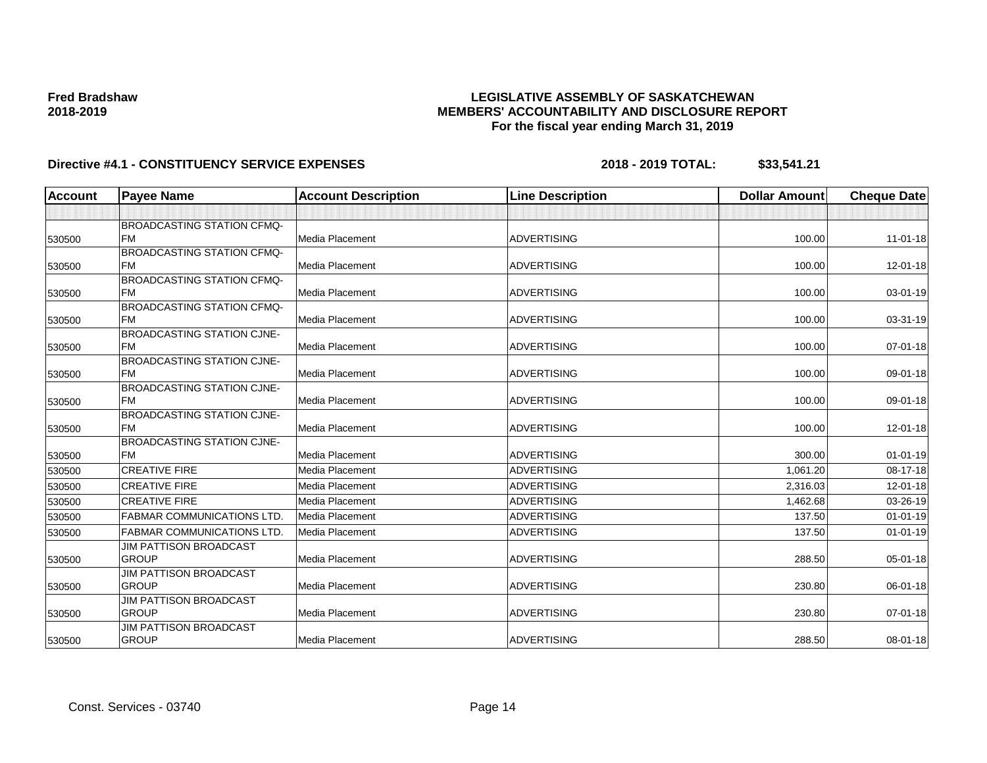## **LEGISLATIVE ASSEMBLY OF SASKATCHEWAN MEMBERS' ACCOUNTABILITY AND DISCLOSURE REPORT For the fiscal year ending March 31, 2019**

| <b>Account</b> | <b>Payee Name</b>                              | <b>Account Description</b> | <b>Line Description</b> | <b>Dollar Amount</b> | <b>Cheque Date</b> |
|----------------|------------------------------------------------|----------------------------|-------------------------|----------------------|--------------------|
|                |                                                |                            |                         |                      |                    |
|                | <b>BROADCASTING STATION CFMQ-</b>              |                            |                         |                      |                    |
| 530500         | <b>FM</b>                                      | Media Placement            | <b>ADVERTISING</b>      | 100.00               | $11 - 01 - 18$     |
|                | <b>BROADCASTING STATION CFMQ-</b>              |                            |                         |                      |                    |
| 530500         | <b>FM</b>                                      | Media Placement            | <b>ADVERTISING</b>      | 100.00               | 12-01-18           |
|                | <b>BROADCASTING STATION CFMQ-</b>              |                            |                         |                      |                    |
| 530500         | <b>FM</b>                                      | Media Placement            | <b>ADVERTISING</b>      | 100.00               | 03-01-19           |
|                | <b>BROADCASTING STATION CFMQ-</b>              |                            |                         |                      |                    |
| 530500         | <b>FM</b>                                      | Media Placement            | <b>ADVERTISING</b>      | 100.00               | 03-31-19           |
|                | <b>BROADCASTING STATION CJNE-</b>              |                            |                         |                      |                    |
| 530500         | <b>IFM</b>                                     | Media Placement            | <b>ADVERTISING</b>      | 100.00               | $07 - 01 - 18$     |
|                | <b>BROADCASTING STATION CJNE-</b><br><b>FM</b> |                            |                         |                      |                    |
| 530500         |                                                | Media Placement            | <b>ADVERTISING</b>      | 100.00               | 09-01-18           |
|                | <b>BROADCASTING STATION CJNE-</b><br><b>FM</b> | Media Placement            | <b>ADVERTISING</b>      | 100.00               | 09-01-18           |
| 530500         | <b>BROADCASTING STATION CJNE-</b>              |                            |                         |                      |                    |
| 530500         | <b>FM</b>                                      | Media Placement            | <b>ADVERTISING</b>      | 100.00               | $12 - 01 - 18$     |
|                | <b>BROADCASTING STATION CJNE-</b>              |                            |                         |                      |                    |
| 530500         | <b>FM</b>                                      | Media Placement            | <b>ADVERTISING</b>      | 300.00               | $01 - 01 - 19$     |
| 530500         | <b>CREATIVE FIRE</b>                           | Media Placement            | <b>ADVERTISING</b>      | 1,061.20             | 08-17-18           |
| 530500         | <b>CREATIVE FIRE</b>                           | Media Placement            | <b>ADVERTISING</b>      | 2,316.03             | $12 - 01 - 18$     |
| 530500         | <b>CREATIVE FIRE</b>                           | Media Placement            | <b>ADVERTISING</b>      | 1,462.68             | 03-26-19           |
| 530500         | <b>FABMAR COMMUNICATIONS LTD.</b>              | Media Placement            | <b>ADVERTISING</b>      | 137.50               | $01 - 01 - 19$     |
| 530500         | <b>FABMAR COMMUNICATIONS LTD.</b>              | Media Placement            | <b>ADVERTISING</b>      | 137.50               | $01 - 01 - 19$     |
|                | JIM PATTISON BROADCAST                         |                            |                         |                      |                    |
| 530500         | <b>GROUP</b>                                   | Media Placement            | <b>ADVERTISING</b>      | 288.50               | 05-01-18           |
|                | <b>JIM PATTISON BROADCAST</b>                  |                            |                         |                      |                    |
| 530500         | <b>GROUP</b>                                   | Media Placement            | <b>ADVERTISING</b>      | 230.80               | 06-01-18           |
|                | <b>JIM PATTISON BROADCAST</b>                  |                            |                         |                      |                    |
| 530500         | <b>GROUP</b>                                   | Media Placement            | <b>ADVERTISING</b>      | 230.80               | $07 - 01 - 18$     |
|                | <b>JIM PATTISON BROADCAST</b>                  |                            |                         |                      |                    |
| 530500         | <b>GROUP</b>                                   | Media Placement            | <b>ADVERTISING</b>      | 288.50               | 08-01-18           |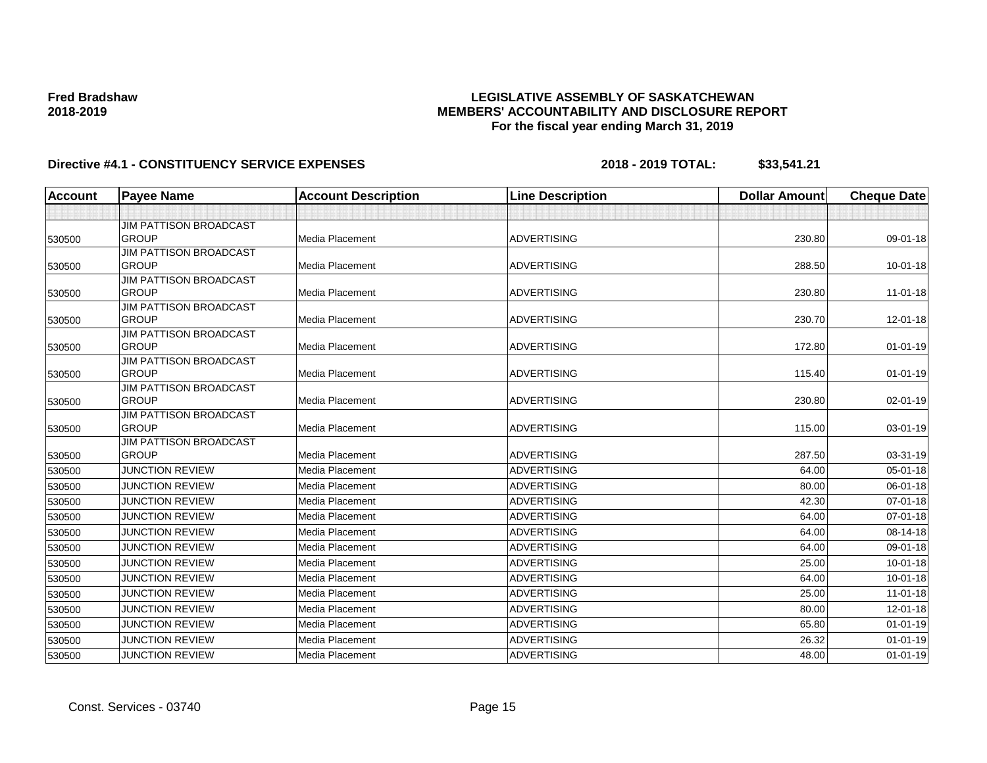## **LEGISLATIVE ASSEMBLY OF SASKATCHEWAN MEMBERS' ACCOUNTABILITY AND DISCLOSURE REPORT For the fiscal year ending March 31, 2019**

| <b>Account</b> | <b>Payee Name</b>                             | <b>Account Description</b> | <b>Line Description</b> | <b>Dollar Amount</b> | <b>Cheque Date</b> |
|----------------|-----------------------------------------------|----------------------------|-------------------------|----------------------|--------------------|
|                |                                               |                            |                         |                      |                    |
|                | JIM PATTISON BROADCAST                        |                            |                         |                      |                    |
| 530500         | <b>GROUP</b>                                  | Media Placement            | <b>ADVERTISING</b>      | 230.80               | 09-01-18           |
|                | <b>JIM PATTISON BROADCAST</b>                 |                            |                         |                      |                    |
| 530500         | <b>GROUP</b>                                  | Media Placement            | <b>ADVERTISING</b>      | 288.50               | $10 - 01 - 18$     |
|                | JIM PATTISON BROADCAST                        |                            |                         |                      |                    |
| 530500         | <b>GROUP</b>                                  | Media Placement            | <b>ADVERTISING</b>      | 230.80               | $11-01-18$         |
|                | JIM PATTISON BROADCAST                        |                            |                         |                      |                    |
| 530500         | <b>GROUP</b>                                  | Media Placement            | <b>ADVERTISING</b>      | 230.70               | 12-01-18           |
|                | <b>JIM PATTISON BROADCAST</b>                 |                            |                         |                      |                    |
| 530500         | <b>GROUP</b>                                  | Media Placement            | <b>ADVERTISING</b>      | 172.80               | $01 - 01 - 19$     |
|                | JIM PATTISON BROADCAST                        |                            |                         |                      |                    |
| 530500         | <b>GROUP</b>                                  | Media Placement            | <b>ADVERTISING</b>      | 115.40               | $01 - 01 - 19$     |
|                | <b>JIM PATTISON BROADCAST</b>                 |                            |                         |                      |                    |
| 530500         | <b>GROUP</b>                                  | Media Placement            | <b>ADVERTISING</b>      | 230.80               | 02-01-19           |
|                | <b>JIM PATTISON BROADCAST</b>                 |                            |                         |                      |                    |
| 530500         | <b>GROUP</b>                                  | Media Placement            | <b>ADVERTISING</b>      | 115.00               | 03-01-19           |
|                | <b>JIM PATTISON BROADCAST</b><br><b>GROUP</b> | Media Placement            | <b>ADVERTISING</b>      | 287.50               | 03-31-19           |
| 530500         |                                               |                            |                         |                      |                    |
| 530500         | <b>JUNCTION REVIEW</b>                        | Media Placement            | <b>ADVERTISING</b>      | 64.00                | 05-01-18           |
| 530500         | <b>JUNCTION REVIEW</b>                        | Media Placement            | <b>ADVERTISING</b>      | 80.00                | 06-01-18           |
| 530500         | <b>JUNCTION REVIEW</b>                        | Media Placement            | <b>ADVERTISING</b>      | 42.30                | 07-01-18           |
| 530500         | <b>JUNCTION REVIEW</b>                        | Media Placement            | <b>ADVERTISING</b>      | 64.00                | 07-01-18           |
| 530500         | <b>JUNCTION REVIEW</b>                        | Media Placement            | <b>ADVERTISING</b>      | 64.00                | 08-14-18           |
| 530500         | <b>JUNCTION REVIEW</b>                        | Media Placement            | <b>ADVERTISING</b>      | 64.00                | 09-01-18           |
| 530500         | <b>JUNCTION REVIEW</b>                        | Media Placement            | <b>ADVERTISING</b>      | 25.00                | $10 - 01 - 18$     |
| 530500         | <b>JUNCTION REVIEW</b>                        | Media Placement            | <b>ADVERTISING</b>      | 64.00                | $10 - 01 - 18$     |
| 530500         | <b>JUNCTION REVIEW</b>                        | <b>Media Placement</b>     | <b>ADVERTISING</b>      | 25.00                | $11 - 01 - 18$     |
| 530500         | <b>JUNCTION REVIEW</b>                        | Media Placement            | <b>ADVERTISING</b>      | 80.00                | 12-01-18           |
| 530500         | <b>JUNCTION REVIEW</b>                        | Media Placement            | <b>ADVERTISING</b>      | 65.80                | $01 - 01 - 19$     |
| 530500         | <b>JUNCTION REVIEW</b>                        | Media Placement            | <b>ADVERTISING</b>      | 26.32                | $01 - 01 - 19$     |
| 530500         | <b>JUNCTION REVIEW</b>                        | Media Placement            | <b>ADVERTISING</b>      | 48.00                | $01 - 01 - 19$     |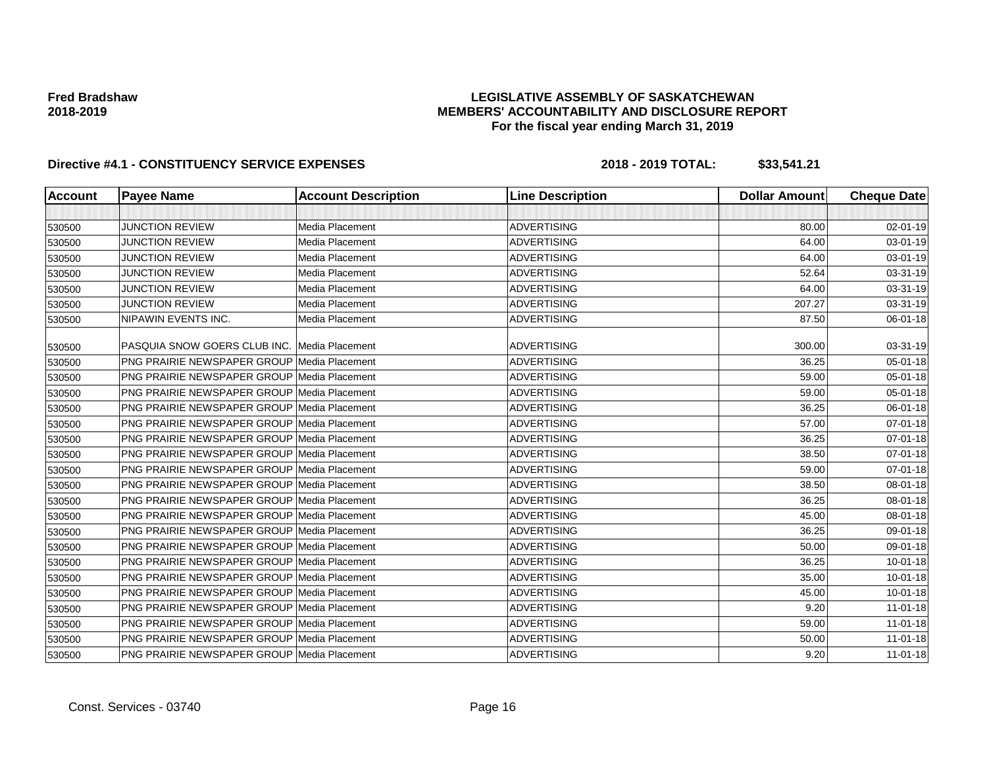## **LEGISLATIVE ASSEMBLY OF SASKATCHEWAN MEMBERS' ACCOUNTABILITY AND DISCLOSURE REPORT For the fiscal year ending March 31, 2019**

| <b>Account</b> | <b>Payee Name</b>                                   | <b>Account Description</b> | <b>Line Description</b> | <b>Dollar Amount</b> | <b>Cheque Date</b> |
|----------------|-----------------------------------------------------|----------------------------|-------------------------|----------------------|--------------------|
|                |                                                     |                            |                         |                      |                    |
| 530500         | <b>JUNCTION REVIEW</b>                              | Media Placement            | <b>ADVERTISING</b>      | 80.00                | 02-01-19           |
| 530500         | <b>JUNCTION REVIEW</b>                              | Media Placement            | <b>ADVERTISING</b>      | 64.00                | 03-01-19           |
| 530500         | <b>JUNCTION REVIEW</b>                              | Media Placement            | <b>ADVERTISING</b>      | 64.00                | 03-01-19           |
| 530500         | <b>JUNCTION REVIEW</b>                              | Media Placement            | <b>ADVERTISING</b>      | 52.64                | 03-31-19           |
| 530500         | <b>JUNCTION REVIEW</b>                              | Media Placement            | <b>ADVERTISING</b>      | 64.00                | 03-31-19           |
| 530500         | <b>JUNCTION REVIEW</b>                              | Media Placement            | <b>ADVERTISING</b>      | 207.27               | 03-31-19           |
| 530500         | NIPAWIN EVENTS INC.                                 | Media Placement            | <b>ADVERTISING</b>      | 87.50                | 06-01-18           |
| 530500         | <b>PASQUIA SNOW GOERS CLUB INC. Media Placement</b> |                            | <b>ADVERTISING</b>      | 300.00               | 03-31-19           |
| 530500         | <b>PNG PRAIRIE NEWSPAPER GROUP Media Placement</b>  |                            | <b>ADVERTISING</b>      | 36.25                | 05-01-18           |
| 530500         | <b>PNG PRAIRIE NEWSPAPER GROUP Media Placement</b>  |                            | <b>ADVERTISING</b>      | 59.00                | 05-01-18           |
| 530500         | <b>PNG PRAIRIE NEWSPAPER GROUP Media Placement</b>  |                            | ADVERTISING             | 59.00                | 05-01-18           |
| 530500         | <b>PNG PRAIRIE NEWSPAPER GROUP Media Placement</b>  |                            | <b>ADVERTISING</b>      | 36.25                | 06-01-18           |
| 530500         | <b>PNG PRAIRIE NEWSPAPER GROUP Media Placement</b>  |                            | <b>ADVERTISING</b>      | 57.00                | 07-01-18           |
| 530500         | <b>PNG PRAIRIE NEWSPAPER GROUP Media Placement</b>  |                            | <b>ADVERTISING</b>      | 36.25                | 07-01-18           |
| 530500         | <b>PNG PRAIRIE NEWSPAPER GROUP Media Placement</b>  |                            | <b>ADVERTISING</b>      | 38.50                | 07-01-18           |
| 530500         | <b>PNG PRAIRIE NEWSPAPER GROUP Media Placement</b>  |                            | <b>ADVERTISING</b>      | 59.00                | 07-01-18           |
| 530500         | <b>PNG PRAIRIE NEWSPAPER GROUP Media Placement</b>  |                            | <b>ADVERTISING</b>      | 38.50                | 08-01-18           |
| 530500         | <b>PNG PRAIRIE NEWSPAPER GROUP Media Placement</b>  |                            | <b>ADVERTISING</b>      | 36.25                | 08-01-18           |
| 530500         | <b>PNG PRAIRIE NEWSPAPER GROUP Media Placement</b>  |                            | <b>ADVERTISING</b>      | 45.00                | 08-01-18           |
| 530500         | <b>PNG PRAIRIE NEWSPAPER GROUP Media Placement</b>  |                            | <b>ADVERTISING</b>      | 36.25                | 09-01-18           |
| 530500         | <b>PNG PRAIRIE NEWSPAPER GROUP Media Placement</b>  |                            | <b>ADVERTISING</b>      | 50.00                | 09-01-18           |
| 530500         | <b>PNG PRAIRIE NEWSPAPER GROUP Media Placement</b>  |                            | <b>ADVERTISING</b>      | 36.25                | $10 - 01 - 18$     |
| 530500         | <b>PNG PRAIRIE NEWSPAPER GROUP Media Placement</b>  |                            | <b>ADVERTISING</b>      | 35.00                | $10 - 01 - 18$     |
| 530500         | <b>PNG PRAIRIE NEWSPAPER GROUP Media Placement</b>  |                            | <b>ADVERTISING</b>      | 45.00                | $10 - 01 - 18$     |
| 530500         | <b>PNG PRAIRIE NEWSPAPER GROUP Media Placement</b>  |                            | <b>ADVERTISING</b>      | 9.20                 | $11-01-18$         |
| 530500         | <b>PNG PRAIRIE NEWSPAPER GROUP Media Placement</b>  |                            | <b>ADVERTISING</b>      | 59.00                | 11-01-18           |
| 530500         | <b>PNG PRAIRIE NEWSPAPER GROUP Media Placement</b>  |                            | <b>ADVERTISING</b>      | 50.00                | $11 - 01 - 18$     |
| 530500         | <b>PNG PRAIRIE NEWSPAPER GROUP Media Placement</b>  |                            | <b>ADVERTISING</b>      | 9.20                 | $11-01-18$         |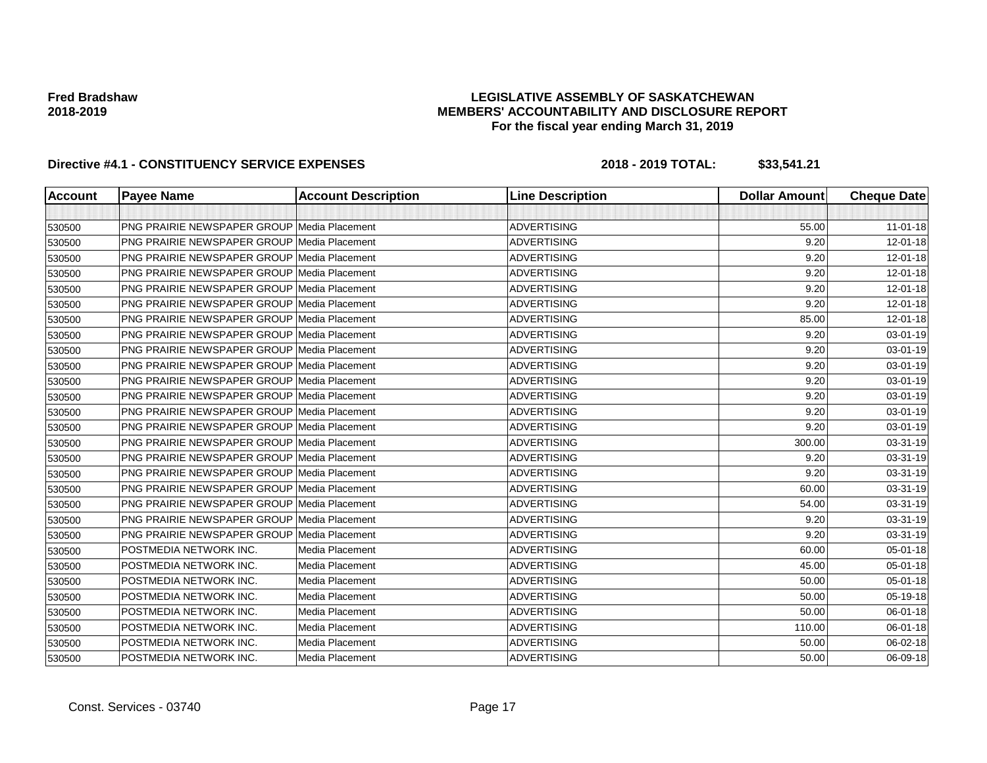## **LEGISLATIVE ASSEMBLY OF SASKATCHEWAN MEMBERS' ACCOUNTABILITY AND DISCLOSURE REPORT For the fiscal year ending March 31, 2019**

| <b>Account</b> | <b>Payee Name</b>                                  | <b>Account Description</b> | <b>Line Description</b> | <b>Dollar Amount</b> | <b>Cheque Date</b> |
|----------------|----------------------------------------------------|----------------------------|-------------------------|----------------------|--------------------|
|                |                                                    |                            |                         |                      |                    |
| 530500         | <b>PNG PRAIRIE NEWSPAPER GROUP Media Placement</b> |                            | <b>ADVERTISING</b>      | 55.00                | $11-01-18$         |
| 530500         | <b>PNG PRAIRIE NEWSPAPER GROUP Media Placement</b> |                            | <b>ADVERTISING</b>      | 9.20                 | 12-01-18           |
| 530500         | <b>PNG PRAIRIE NEWSPAPER GROUP Media Placement</b> |                            | <b>ADVERTISING</b>      | 9.20                 | 12-01-18           |
| 530500         | <b>PNG PRAIRIE NEWSPAPER GROUP Media Placement</b> |                            | <b>ADVERTISING</b>      | 9.20                 | 12-01-18           |
| 530500         | <b>PNG PRAIRIE NEWSPAPER GROUP Media Placement</b> |                            | <b>ADVERTISING</b>      | 9.20                 | 12-01-18           |
| 530500         | <b>PNG PRAIRIE NEWSPAPER GROUP Media Placement</b> |                            | <b>ADVERTISING</b>      | 9.20                 | 12-01-18           |
| 530500         | <b>PNG PRAIRIE NEWSPAPER GROUP Media Placement</b> |                            | <b>ADVERTISING</b>      | 85.00                | 12-01-18           |
| 530500         | <b>PNG PRAIRIE NEWSPAPER GROUP Media Placement</b> |                            | <b>ADVERTISING</b>      | 9.20                 | 03-01-19           |
| 530500         | <b>PNG PRAIRIE NEWSPAPER GROUP Media Placement</b> |                            | <b>ADVERTISING</b>      | 9.20                 | 03-01-19           |
| 530500         | <b>PNG PRAIRIE NEWSPAPER GROUP Media Placement</b> |                            | <b>ADVERTISING</b>      | 9.20                 | 03-01-19           |
| 530500         | <b>PNG PRAIRIE NEWSPAPER GROUP Media Placement</b> |                            | <b>ADVERTISING</b>      | 9.20                 | 03-01-19           |
| 530500         | <b>PNG PRAIRIE NEWSPAPER GROUP Media Placement</b> |                            | <b>ADVERTISING</b>      | 9.20                 | 03-01-19           |
| 530500         | <b>PNG PRAIRIE NEWSPAPER GROUP Media Placement</b> |                            | <b>ADVERTISING</b>      | 9.20                 | 03-01-19           |
| 530500         | PNG PRAIRIE NEWSPAPER GROUP Media Placement        |                            | <b>ADVERTISING</b>      | 9.20                 | 03-01-19           |
| 530500         | <b>PNG PRAIRIE NEWSPAPER GROUP Media Placement</b> |                            | <b>ADVERTISING</b>      | 300.00               | 03-31-19           |
| 530500         | <b>PNG PRAIRIE NEWSPAPER GROUP Media Placement</b> |                            | <b>ADVERTISING</b>      | 9.20                 | 03-31-19           |
| 530500         | <b>PNG PRAIRIE NEWSPAPER GROUP Media Placement</b> |                            | ADVERTISING             | 9.20                 | 03-31-19           |
| 530500         | <b>PNG PRAIRIE NEWSPAPER GROUP Media Placement</b> |                            | <b>ADVERTISING</b>      | 60.00                | 03-31-19           |
| 530500         | <b>PNG PRAIRIE NEWSPAPER GROUP Media Placement</b> |                            | <b>ADVERTISING</b>      | 54.00                | 03-31-19           |
| 530500         | <b>PNG PRAIRIE NEWSPAPER GROUP Media Placement</b> |                            | <b>ADVERTISING</b>      | 9.20                 | 03-31-19           |
| 530500         | <b>PNG PRAIRIE NEWSPAPER GROUP</b>                 | Media Placement            | <b>ADVERTISING</b>      | 9.20                 | 03-31-19           |
| 530500         | POSTMEDIA NETWORK INC.                             | Media Placement            | <b>ADVERTISING</b>      | 60.00                | 05-01-18           |
| 530500         | POSTMEDIA NETWORK INC.                             | Media Placement            | <b>ADVERTISING</b>      | 45.00                | 05-01-18           |
| 530500         | POSTMEDIA NETWORK INC.                             | Media Placement            | <b>ADVERTISING</b>      | 50.00                | 05-01-18           |
| 530500         | POSTMEDIA NETWORK INC.                             | Media Placement            | <b>ADVERTISING</b>      | 50.00                | 05-19-18           |
| 530500         | POSTMEDIA NETWORK INC.                             | Media Placement            | <b>ADVERTISING</b>      | 50.00                | 06-01-18           |
| 530500         | POSTMEDIA NETWORK INC.                             | Media Placement            | <b>ADVERTISING</b>      | 110.00               | 06-01-18           |
| 530500         | POSTMEDIA NETWORK INC.                             | Media Placement            | <b>ADVERTISING</b>      | 50.00                | 06-02-18           |
| 530500         | POSTMEDIA NETWORK INC.                             | Media Placement            | <b>ADVERTISING</b>      | 50.00                | 06-09-18           |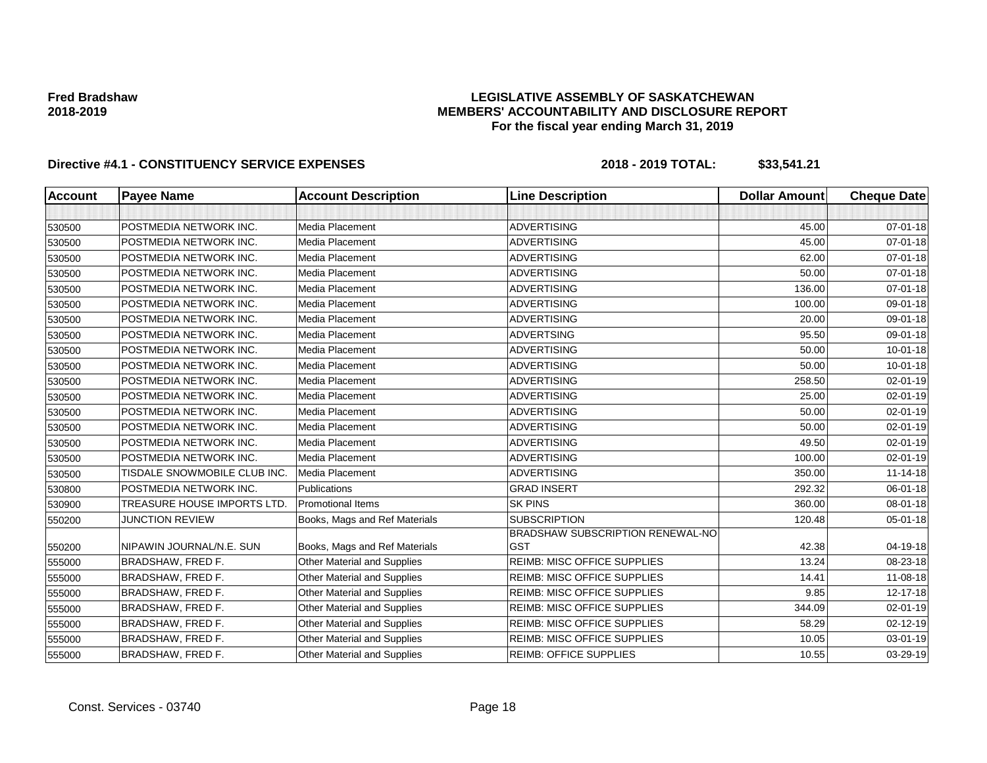### **LEGISLATIVE ASSEMBLY OF SASKATCHEWAN MEMBERS' ACCOUNTABILITY AND DISCLOSURE REPORT For the fiscal year ending March 31, 2019**

| <b>Account</b> | <b>Payee Name</b>            | <b>Account Description</b>         | <b>Line Description</b>            | <b>Dollar Amount</b> | <b>Cheque Date</b> |
|----------------|------------------------------|------------------------------------|------------------------------------|----------------------|--------------------|
|                |                              |                                    |                                    |                      |                    |
| 530500         | POSTMEDIA NETWORK INC.       | Media Placement                    | <b>ADVERTISING</b>                 | 45.00                | 07-01-18           |
| 530500         | POSTMEDIA NETWORK INC.       | Media Placement                    | <b>ADVERTISING</b>                 | 45.00                | $07 - 01 - 18$     |
| 530500         | POSTMEDIA NETWORK INC.       | Media Placement                    | <b>ADVERTISING</b>                 | 62.00                | $07 - 01 - 18$     |
| 530500         | POSTMEDIA NETWORK INC.       | Media Placement                    | <b>ADVERTISING</b>                 | 50.00                | $07 - 01 - 18$     |
| 530500         | POSTMEDIA NETWORK INC.       | Media Placement                    | <b>ADVERTISING</b>                 | 136.00               | 07-01-18           |
| 530500         | POSTMEDIA NETWORK INC.       | Media Placement                    | <b>ADVERTISING</b>                 | 100.00               | 09-01-18           |
| 530500         | POSTMEDIA NETWORK INC.       | Media Placement                    | <b>ADVERTISING</b>                 | 20.00                | 09-01-18           |
| 530500         | POSTMEDIA NETWORK INC.       | Media Placement                    | <b>ADVERTSING</b>                  | 95.50                | 09-01-18           |
| 530500         | POSTMEDIA NETWORK INC.       | Media Placement                    | <b>ADVERTISING</b>                 | 50.00                | $10 - 01 - 18$     |
| 530500         | POSTMEDIA NETWORK INC.       | Media Placement                    | <b>ADVERTISING</b>                 | 50.00                | $10 - 01 - 18$     |
| 530500         | POSTMEDIA NETWORK INC.       | Media Placement                    | <b>ADVERTISING</b>                 | 258.50               | 02-01-19           |
| 530500         | POSTMEDIA NETWORK INC.       | Media Placement                    | <b>ADVERTISING</b>                 | 25.00                | 02-01-19           |
| 530500         | POSTMEDIA NETWORK INC.       | Media Placement                    | <b>ADVERTISING</b>                 | 50.00                | 02-01-19           |
| 530500         | POSTMEDIA NETWORK INC.       | Media Placement                    | <b>ADVERTISING</b>                 | 50.00                | 02-01-19           |
| 530500         | POSTMEDIA NETWORK INC.       | Media Placement                    | <b>ADVERTISING</b>                 | 49.50                | 02-01-19           |
| 530500         | POSTMEDIA NETWORK INC.       | Media Placement                    | <b>ADVERTISING</b>                 | 100.00               | 02-01-19           |
| 530500         | TISDALE SNOWMOBILE CLUB INC. | Media Placement                    | <b>ADVERTISING</b>                 | 350.00               | $11 - 14 - 18$     |
| 530800         | POSTMEDIA NETWORK INC.       | Publications                       | <b>GRAD INSERT</b>                 | 292.32               | 06-01-18           |
| 530900         | TREASURE HOUSE IMPORTS LTD.  | <b>Promotional Items</b>           | <b>SK PINS</b>                     | 360.00               | 08-01-18           |
| 550200         | <b>JUNCTION REVIEW</b>       | Books, Mags and Ref Materials      | <b>SUBSCRIPTION</b>                | 120.48               | 05-01-18           |
|                |                              |                                    | BRADSHAW SUBSCRIPTION RENEWAL-NO   |                      |                    |
| 550200         | NIPAWIN JOURNAL/N.E. SUN     | Books, Mags and Ref Materials      | <b>GST</b>                         | 42.38                | 04-19-18           |
| 555000         | BRADSHAW, FRED F.            | Other Material and Supplies        | <b>REIMB: MISC OFFICE SUPPLIES</b> | 13.24                | 08-23-18           |
| 555000         | BRADSHAW, FRED F.            | Other Material and Supplies        | <b>REIMB: MISC OFFICE SUPPLIES</b> | 14.41                | 11-08-18           |
| 555000         | BRADSHAW, FRED F.            | <b>Other Material and Supplies</b> | <b>REIMB: MISC OFFICE SUPPLIES</b> | 9.85                 | 12-17-18           |
| 555000         | BRADSHAW, FRED F.            | Other Material and Supplies        | <b>REIMB: MISC OFFICE SUPPLIES</b> | 344.09               | 02-01-19           |
| 555000         | BRADSHAW, FRED F.            | Other Material and Supplies        | <b>REIMB: MISC OFFICE SUPPLIES</b> | 58.29                | $02 - 12 - 19$     |
| 555000         | BRADSHAW, FRED F.            | <b>Other Material and Supplies</b> | <b>REIMB: MISC OFFICE SUPPLIES</b> | 10.05                | 03-01-19           |
| 555000         | BRADSHAW, FRED F.            | Other Material and Supplies        | <b>REIMB: OFFICE SUPPLIES</b>      | 10.55                | 03-29-19           |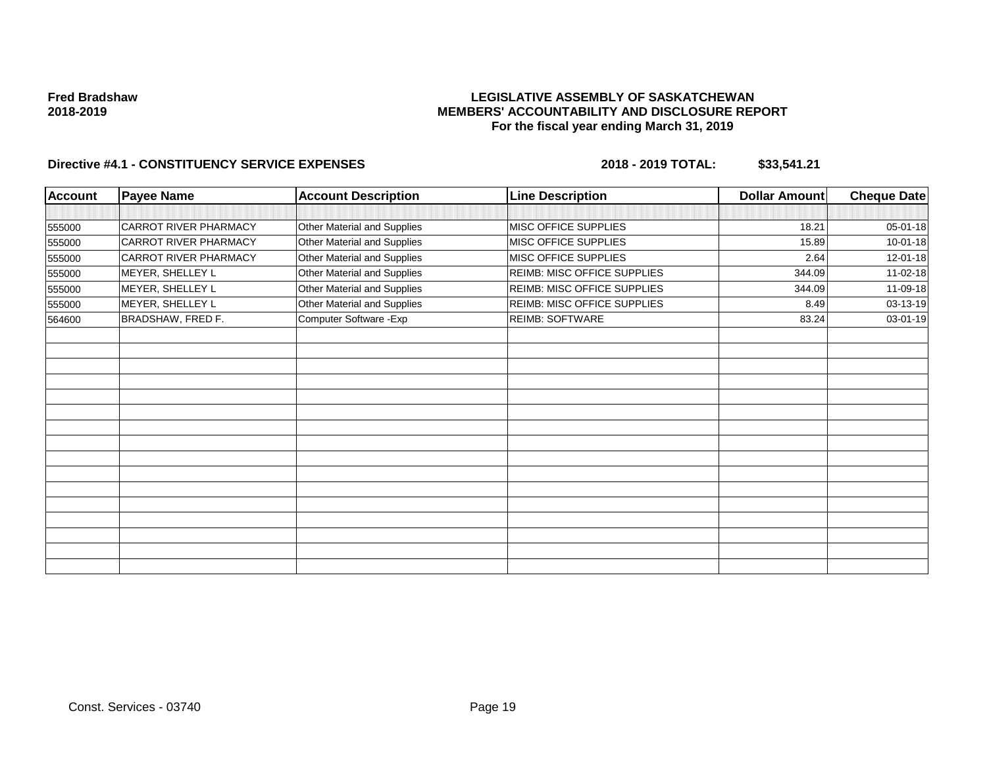### **LEGISLATIVE ASSEMBLY OF SASKATCHEWAN MEMBERS' ACCOUNTABILITY AND DISCLOSURE REPORT For the fiscal year ending March 31, 2019**

| <b>Account</b> | <b>Payee Name</b>            | <b>Account Description</b>  | <b>Line Description</b>            | Dollar Amount | <b>Cheque Date</b> |
|----------------|------------------------------|-----------------------------|------------------------------------|---------------|--------------------|
|                |                              |                             |                                    |               |                    |
| 555000         | <b>CARROT RIVER PHARMACY</b> | Other Material and Supplies | <b>MISC OFFICE SUPPLIES</b>        | 18.21         | 05-01-18           |
| 555000         | <b>CARROT RIVER PHARMACY</b> | Other Material and Supplies | MISC OFFICE SUPPLIES               | 15.89         | $10 - 01 - 18$     |
| 555000         | <b>CARROT RIVER PHARMACY</b> | Other Material and Supplies | MISC OFFICE SUPPLIES               | 2.64          | 12-01-18           |
| 555000         | MEYER, SHELLEY L             | Other Material and Supplies | <b>REIMB: MISC OFFICE SUPPLIES</b> | 344.09        | 11-02-18           |
| 555000         | MEYER, SHELLEY L             | Other Material and Supplies | <b>REIMB: MISC OFFICE SUPPLIES</b> | 344.09        | 11-09-18           |
| 555000         | MEYER, SHELLEY L             | Other Material and Supplies | REIMB: MISC OFFICE SUPPLIES        | 8.49          | 03-13-19           |
| 564600         | BRADSHAW, FRED F.            | Computer Software - Exp     | <b>REIMB: SOFTWARE</b>             | 83.24         | 03-01-19           |
|                |                              |                             |                                    |               |                    |
|                |                              |                             |                                    |               |                    |
|                |                              |                             |                                    |               |                    |
|                |                              |                             |                                    |               |                    |
|                |                              |                             |                                    |               |                    |
|                |                              |                             |                                    |               |                    |
|                |                              |                             |                                    |               |                    |
|                |                              |                             |                                    |               |                    |
|                |                              |                             |                                    |               |                    |
|                |                              |                             |                                    |               |                    |
|                |                              |                             |                                    |               |                    |
|                |                              |                             |                                    |               |                    |
|                |                              |                             |                                    |               |                    |
|                |                              |                             |                                    |               |                    |
|                |                              |                             |                                    |               |                    |
|                |                              |                             |                                    |               |                    |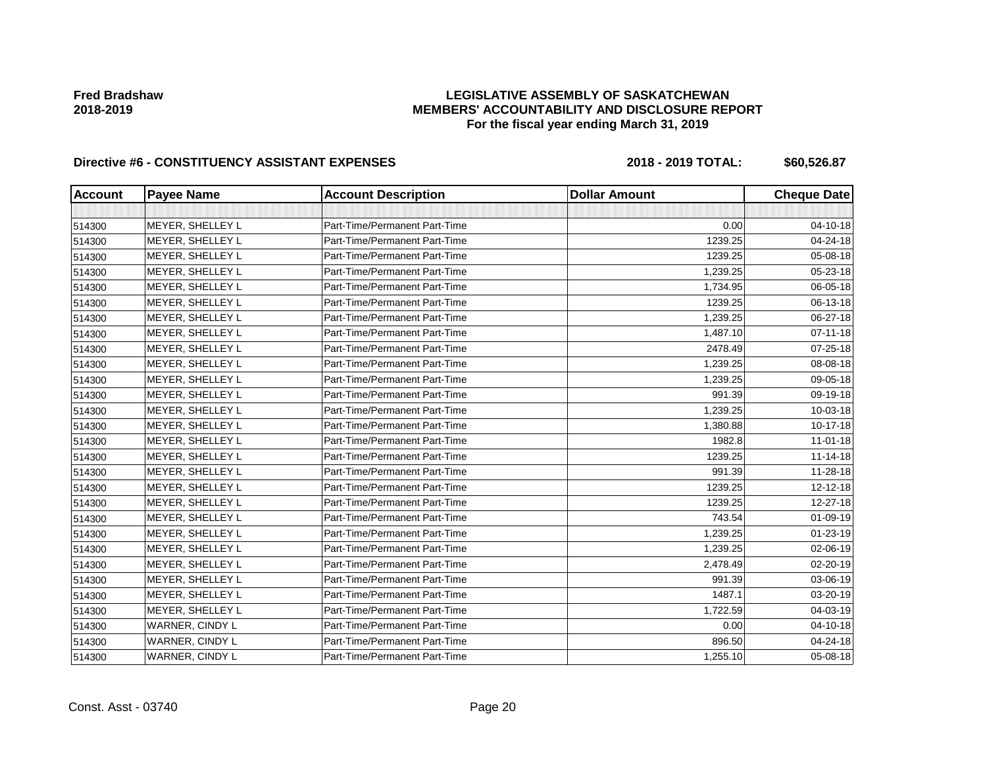# **LEGISLATIVE ASSEMBLY OF SASKATCHEWAN MEMBERS' ACCOUNTABILITY AND DISCLOSURE REPORT For the fiscal year ending March 31, 2019**

| <b>Account</b> | <b>Payee Name</b> | <b>Account Description</b>    | <b>Dollar Amount</b> | <b>Cheque Date</b> |
|----------------|-------------------|-------------------------------|----------------------|--------------------|
|                |                   |                               |                      |                    |
| 514300         | MEYER, SHELLEY L  | Part-Time/Permanent Part-Time | 0.00                 | 04-10-18           |
| 514300         | MEYER, SHELLEY L  | Part-Time/Permanent Part-Time | 1239.25              | 04-24-18           |
| 514300         | MEYER, SHELLEY L  | Part-Time/Permanent Part-Time | 1239.25              | 05-08-18           |
| 514300         | MEYER, SHELLEY L  | Part-Time/Permanent Part-Time | 1,239.25             | 05-23-18           |
| 514300         | MEYER, SHELLEY L  | Part-Time/Permanent Part-Time | 1,734.95             | 06-05-18           |
| 514300         | MEYER, SHELLEY L  | Part-Time/Permanent Part-Time | 1239.25              | 06-13-18           |
| 514300         | MEYER, SHELLEY L  | Part-Time/Permanent Part-Time | 1,239.25             | 06-27-18           |
| 514300         | MEYER, SHELLEY L  | Part-Time/Permanent Part-Time | 1,487.10             | $07 - 11 - 18$     |
| 514300         | MEYER, SHELLEY L  | Part-Time/Permanent Part-Time | 2478.49              | 07-25-18           |
| 514300         | MEYER, SHELLEY L  | Part-Time/Permanent Part-Time | 1,239.25             | 08-08-18           |
| 514300         | MEYER, SHELLEY L  | Part-Time/Permanent Part-Time | 1,239.25             | 09-05-18           |
| 514300         | MEYER, SHELLEY L  | Part-Time/Permanent Part-Time | 991.39               | 09-19-18           |
| 514300         | MEYER, SHELLEY L  | Part-Time/Permanent Part-Time | 1,239.25             | 10-03-18           |
| 514300         | MEYER, SHELLEY L  | Part-Time/Permanent Part-Time | 1,380.88             | 10-17-18           |
| 514300         | MEYER, SHELLEY L  | Part-Time/Permanent Part-Time | 1982.8               | $11-01-18$         |
| 514300         | MEYER, SHELLEY L  | Part-Time/Permanent Part-Time | 1239.25              | $11 - 14 - 18$     |
| 514300         | MEYER, SHELLEY L  | Part-Time/Permanent Part-Time | 991.39               | 11-28-18           |
| 514300         | MEYER, SHELLEY L  | Part-Time/Permanent Part-Time | 1239.25              | 12-12-18           |
| 514300         | MEYER, SHELLEY L  | Part-Time/Permanent Part-Time | 1239.25              | 12-27-18           |
| 514300         | MEYER, SHELLEY L  | Part-Time/Permanent Part-Time | 743.54               | 01-09-19           |
| 514300         | MEYER, SHELLEY L  | Part-Time/Permanent Part-Time | 1,239.25             | $01 - 23 - 19$     |
| 514300         | MEYER, SHELLEY L  | Part-Time/Permanent Part-Time | 1,239.25             | 02-06-19           |
| 514300         | MEYER, SHELLEY L  | Part-Time/Permanent Part-Time | 2,478.49             | 02-20-19           |
| 514300         | MEYER, SHELLEY L  | Part-Time/Permanent Part-Time | 991.39               | 03-06-19           |
| 514300         | MEYER, SHELLEY L  | Part-Time/Permanent Part-Time | 1487.1               | 03-20-19           |
| 514300         | MEYER, SHELLEY L  | Part-Time/Permanent Part-Time | 1,722.59             | 04-03-19           |
| 514300         | WARNER, CINDY L   | Part-Time/Permanent Part-Time | 0.00                 | 04-10-18           |
| 514300         | WARNER, CINDY L   | Part-Time/Permanent Part-Time | 896.50               | 04-24-18           |
| 514300         | WARNER, CINDY L   | Part-Time/Permanent Part-Time | 1,255.10             | 05-08-18           |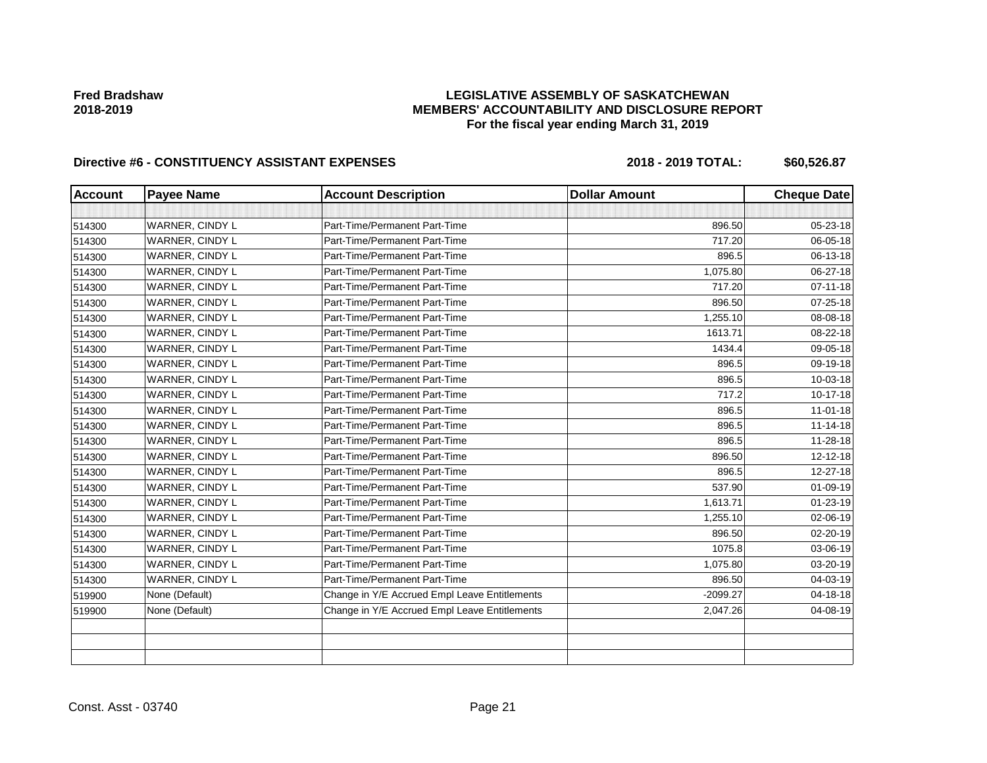# **LEGISLATIVE ASSEMBLY OF SASKATCHEWAN MEMBERS' ACCOUNTABILITY AND DISCLOSURE REPORT For the fiscal year ending March 31, 2019**

| <b>Account</b> | <b>Payee Name</b> | <b>Account Description</b>                    | <b>Dollar Amount</b> | <b>Cheque Date</b> |
|----------------|-------------------|-----------------------------------------------|----------------------|--------------------|
|                |                   |                                               |                      |                    |
| 514300         | WARNER, CINDY L   | Part-Time/Permanent Part-Time                 | 896.50               | 05-23-18           |
| 514300         | WARNER, CINDY L   | Part-Time/Permanent Part-Time                 | 717.20               | 06-05-18           |
| 514300         | WARNER, CINDY L   | Part-Time/Permanent Part-Time                 | 896.5                | $06 - 13 - 18$     |
| 514300         | WARNER, CINDY L   | Part-Time/Permanent Part-Time                 | 1,075.80             | 06-27-18           |
| 514300         | WARNER, CINDY L   | Part-Time/Permanent Part-Time                 | 717.20               | $07 - 11 - 18$     |
| 514300         | WARNER, CINDY L   | Part-Time/Permanent Part-Time                 | 896.50               | $07 - 25 - 18$     |
| 514300         | WARNER, CINDY L   | Part-Time/Permanent Part-Time                 | 1,255.10             | 08-08-18           |
| 514300         | WARNER, CINDY L   | Part-Time/Permanent Part-Time                 | 1613.71              | 08-22-18           |
| 514300         | WARNER, CINDY L   | Part-Time/Permanent Part-Time                 | 1434.4               | 09-05-18           |
| 514300         | WARNER, CINDY L   | Part-Time/Permanent Part-Time                 | 896.5                | 09-19-18           |
| 514300         | WARNER, CINDY L   | Part-Time/Permanent Part-Time                 | 896.5                | $10 - 03 - 18$     |
| 514300         | WARNER, CINDY L   | Part-Time/Permanent Part-Time                 | 717.2                | 10-17-18           |
| 514300         | WARNER, CINDY L   | Part-Time/Permanent Part-Time                 | 896.5                | $11-01-18$         |
| 514300         | WARNER, CINDY L   | Part-Time/Permanent Part-Time                 | 896.5                | $11 - 14 - 18$     |
| 514300         | WARNER, CINDY L   | Part-Time/Permanent Part-Time                 | 896.5                | 11-28-18           |
| 514300         | WARNER, CINDY L   | Part-Time/Permanent Part-Time                 | 896.50               | 12-12-18           |
| 514300         | WARNER, CINDY L   | Part-Time/Permanent Part-Time                 | 896.5                | 12-27-18           |
| 514300         | WARNER, CINDY L   | Part-Time/Permanent Part-Time                 | 537.90               | $01 - 09 - 19$     |
| 514300         | WARNER, CINDY L   | Part-Time/Permanent Part-Time                 | 1,613.71             | $01 - 23 - 19$     |
| 514300         | WARNER, CINDY L   | Part-Time/Permanent Part-Time                 | 1,255.10             | 02-06-19           |
| 514300         | WARNER, CINDY L   | Part-Time/Permanent Part-Time                 | 896.50               | 02-20-19           |
| 514300         | WARNER, CINDY L   | Part-Time/Permanent Part-Time                 | 1075.8               | 03-06-19           |
| 514300         | WARNER, CINDY L   | Part-Time/Permanent Part-Time                 | 1,075.80             | 03-20-19           |
| 514300         | WARNER, CINDY L   | Part-Time/Permanent Part-Time                 | 896.50               | 04-03-19           |
| 519900         | None (Default)    | Change in Y/E Accrued Empl Leave Entitlements | $-2099.27$           | 04-18-18           |
| 519900         | None (Default)    | Change in Y/E Accrued Empl Leave Entitlements | 2,047.26             | 04-08-19           |
|                |                   |                                               |                      |                    |
|                |                   |                                               |                      |                    |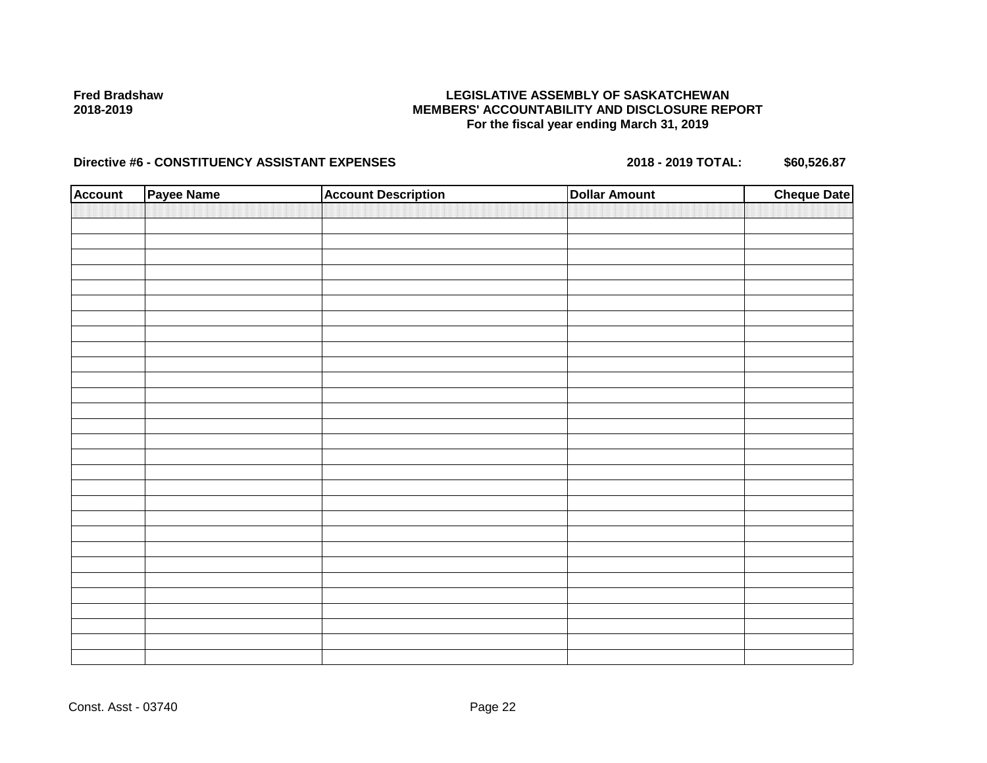## **LEGISLATIVE ASSEMBLY OF SASKATCHEWAN MEMBERS' ACCOUNTABILITY AND DISCLOSURE REPORT For the fiscal year ending March 31, 2019**

| <b>Account</b> | Payee Name | <b>Account Description</b> | <b>Dollar Amount</b> | <b>Cheque Date</b> |
|----------------|------------|----------------------------|----------------------|--------------------|
|                |            |                            |                      |                    |
|                |            |                            |                      |                    |
|                |            |                            |                      |                    |
|                |            |                            |                      |                    |
|                |            |                            |                      |                    |
|                |            |                            |                      |                    |
|                |            |                            |                      |                    |
|                |            |                            |                      |                    |
|                |            |                            |                      |                    |
|                |            |                            |                      |                    |
|                |            |                            |                      |                    |
|                |            |                            |                      |                    |
|                |            |                            |                      |                    |
|                |            |                            |                      |                    |
|                |            |                            |                      |                    |
|                |            |                            |                      |                    |
|                |            |                            |                      |                    |
|                |            |                            |                      |                    |
|                |            |                            |                      |                    |
|                |            |                            |                      |                    |
|                |            |                            |                      |                    |
|                |            |                            |                      |                    |
|                |            |                            |                      |                    |
|                |            |                            |                      |                    |
|                |            |                            |                      |                    |
|                |            |                            |                      |                    |
|                |            |                            |                      |                    |
|                |            |                            |                      |                    |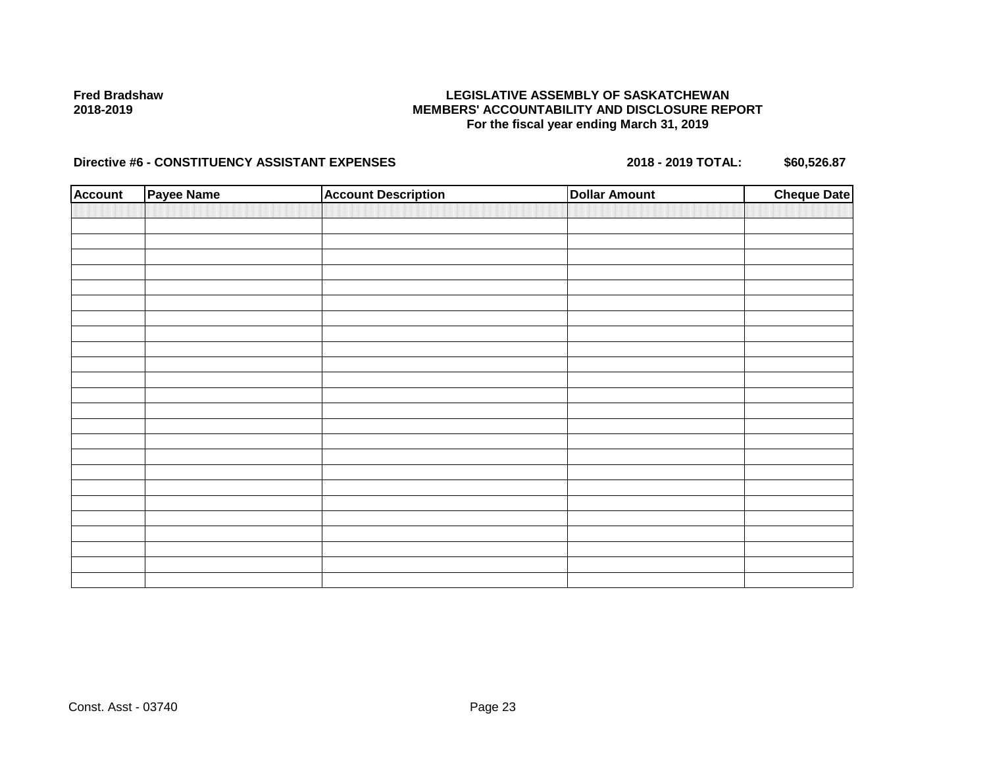## **LEGISLATIVE ASSEMBLY OF SASKATCHEWAN MEMBERS' ACCOUNTABILITY AND DISCLOSURE REPORT For the fiscal year ending March 31, 2019**

| <b>Account</b> | <b>Payee Name</b> | <b>Account Description</b> | <b>Dollar Amount</b> | <b>Cheque Date</b> |
|----------------|-------------------|----------------------------|----------------------|--------------------|
|                |                   |                            |                      |                    |
|                |                   |                            |                      |                    |
|                |                   |                            |                      |                    |
|                |                   |                            |                      |                    |
|                |                   |                            |                      |                    |
|                |                   |                            |                      |                    |
|                |                   |                            |                      |                    |
|                |                   |                            |                      |                    |
|                |                   |                            |                      |                    |
|                |                   |                            |                      |                    |
|                |                   |                            |                      |                    |
|                |                   |                            |                      |                    |
|                |                   |                            |                      |                    |
|                |                   |                            |                      |                    |
|                |                   |                            |                      |                    |
|                |                   |                            |                      |                    |
|                |                   |                            |                      |                    |
|                |                   |                            |                      |                    |
|                |                   |                            |                      |                    |
|                |                   |                            |                      |                    |
|                |                   |                            |                      |                    |
|                |                   |                            |                      |                    |
|                |                   |                            |                      |                    |
|                |                   |                            |                      |                    |